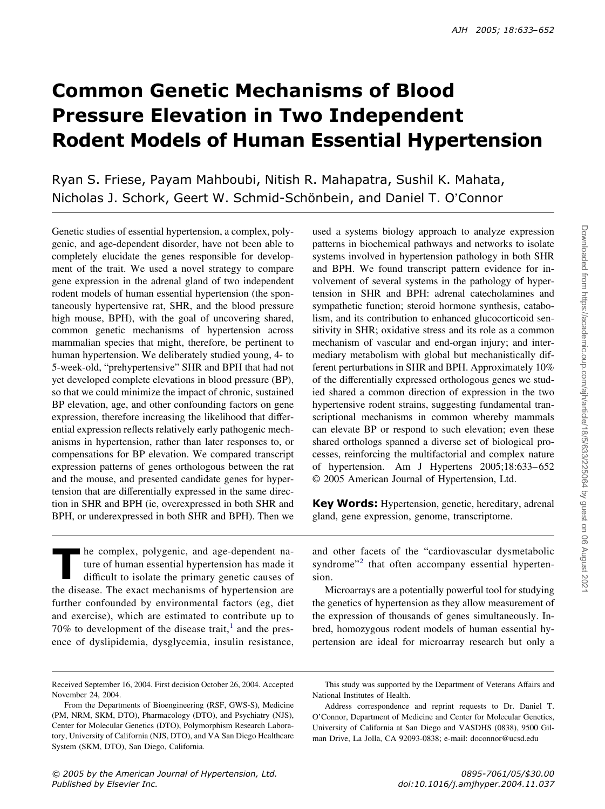# **Common Genetic Mechanisms of Blood Pressure Elevation in Two Independent Rodent Models of Human Essential Hypertension**

Ryan S. Friese, Payam Mahboubi, Nitish R. Mahapatra, Sushil K. Mahata, Nicholas J. Schork, Geert W. Schmid-Schönbein, and Daniel T. O'Connor

Genetic studies of essential hypertension, a complex, polygenic, and age-dependent disorder, have not been able to completely elucidate the genes responsible for development of the trait. We used a novel strategy to compare gene expression in the adrenal gland of two independent rodent models of human essential hypertension (the spontaneously hypertensive rat, SHR, and the blood pressure high mouse, BPH), with the goal of uncovering shared, common genetic mechanisms of hypertension across mammalian species that might, therefore, be pertinent to human hypertension. We deliberately studied young, 4- to 5-week-old, "prehypertensive" SHR and BPH that had not yet developed complete elevations in blood pressure (BP), so that we could minimize the impact of chronic, sustained BP elevation, age, and other confounding factors on gene expression, therefore increasing the likelihood that differential expression reflects relatively early pathogenic mechanisms in hypertension, rather than later responses to, or compensations for BP elevation. We compared transcript expression patterns of genes orthologous between the rat and the mouse, and presented candidate genes for hypertension that are differentially expressed in the same direction in SHR and BPH (ie, overexpressed in both SHR and BPH, or underexpressed in both SHR and BPH). Then we

**T** he complex, polygenic, and age-dependent nature of human essential hypertension has made it difficult to isolate the primary genetic causes of the disease. The exact mechanisms of hypertension are further confounded by environmental factors (eg, diet and exercise), which are estimated to contribute up to 70% to development of the disease trait, $<sup>1</sup>$  and the pres-</sup> ence of dyslipidemia, dysglycemia, insulin resistance,

used a systems biology approach to analyze expression patterns in biochemical pathways and networks to isolate systems involved in hypertension pathology in both SHR and BPH. We found transcript pattern evidence for involvement of several systems in the pathology of hypertension in SHR and BPH: adrenal catecholamines and sympathetic function; steroid hormone synthesis, catabolism, and its contribution to enhanced glucocorticoid sensitivity in SHR; oxidative stress and its role as a common mechanism of vascular and end-organ injury; and intermediary metabolism with global but mechanistically different perturbations in SHR and BPH. Approximately 10% of the differentially expressed orthologous genes we studied shared a common direction of expression in the two hypertensive rodent strains, suggesting fundamental transcriptional mechanisms in common whereby mammals can elevate BP or respond to such elevation; even these shared orthologs spanned a diverse set of biological processes, reinforcing the multifactorial and complex nature of hypertension. Am J Hypertens 2005;18:633– 652 © 2005 American Journal of Hypertension, Ltd.

**Key Words:** Hypertension, genetic, hereditary, adrenal gland, gene expression, genome, transcriptome.

and other facets of the "cardiovascular dysmetabolic syndrome"<sup>2</sup> that often accompany essential hypertension.

Microarrays are a potentially powerful tool for studying the genetics of hypertension as they allow measurement of the expression of thousands of genes simultaneously. Inbred, homozygous rodent models of human essential hypertension are ideal for microarray research but only a

Received September 16, 2004. First decision October 26, 2004. Accepted November 24, 2004.

From the Departments of Bioengineering (RSF, GWS-S), Medicine (PM, NRM, SKM, DTO), Pharmacology (DTO), and Psychiatry (NJS), Center for Molecular Genetics (DTO), Polymorphism Research Laboratory, University of California (NJS, DTO), and VA San Diego Healthcare System (SKM, DTO), San Diego, California.

Address correspondence and reprint requests to Dr. Daniel T. O'Connor, Department of Medicine and Center for Molecular Genetics, University of California at San Diego and VASDHS (0838), 9500 Gilman Drive, La Jolla, CA 92093-0838; e-mail: doconnor@ucsd.edu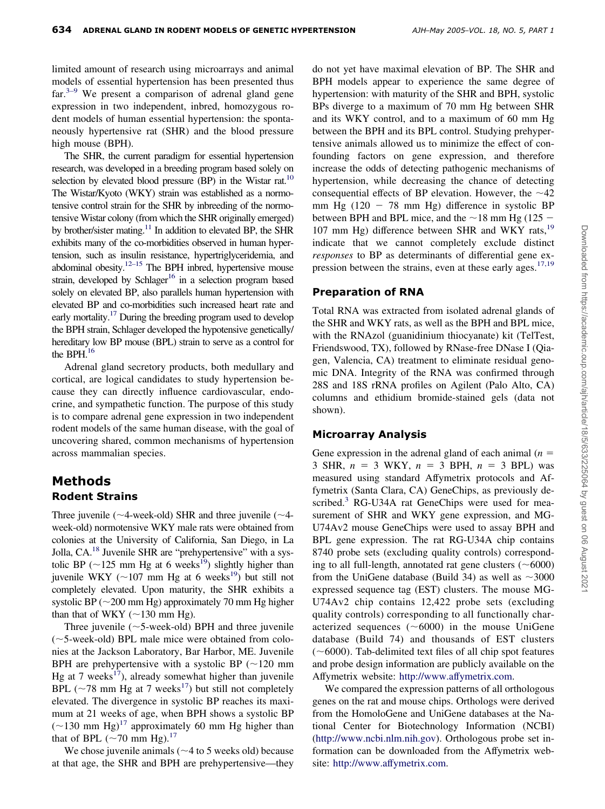limited amount of research using microarrays and animal models of essential hypertension has been presented thus  $far.^{3-9}$  We present a comparison of adrenal gland gene expression in two independent, inbred, homozygous rodent models of human essential hypertension: the spontaneously hypertensive rat (SHR) and the blood pressure high mouse (BPH).

The SHR, the current paradigm for essential hypertension research, was developed in a breeding program based solely on selection by elevated blood pressure (BP) in the Wistar rat.<sup>10</sup> The Wistar/Kyoto (WKY) strain was established as a normotensive control strain for the SHR by inbreeding of the normotensive Wistar colony (from which the SHR originally emerged) by brother/sister mating.<sup>11</sup> In addition to elevated BP, the SHR exhibits many of the co-morbidities observed in human hypertension, such as insulin resistance, hypertriglyceridemia, and abdominal obesity.<sup>12–15</sup> The BPH inbred, hypertensive mouse strain, developed by Schlager<sup>16</sup> in a selection program based solely on elevated BP, also parallels human hypertension with elevated BP and co-morbidities such increased heart rate and early mortality.<sup>17</sup> During the breeding program used to develop the BPH strain, Schlager developed the hypotensive genetically/ hereditary low BP mouse (BPL) strain to serve as a control for the BPH.<sup>16</sup>

Adrenal gland secretory products, both medullary and cortical, are logical candidates to study hypertension because they can directly influence cardiovascular, endocrine, and sympathetic function. The purpose of this study is to compare adrenal gene expression in two independent rodent models of the same human disease, with the goal of uncovering shared, common mechanisms of hypertension across mammalian species.

# **Methods Rodent Strains**

Three juvenile ( $\sim$ 4-week-old) SHR and three juvenile ( $\sim$ 4week-old) normotensive WKY male rats were obtained from colonies at the University of California, San Diego, in La Jolla, CA.<sup>18</sup> Juvenile SHR are "prehypertensive" with a systolic BP ( $\sim$ 125 mm Hg at 6 weeks<sup>19</sup>) slightly higher than juvenile WKY ( $\sim$ 107 mm Hg at 6 weeks<sup>19</sup>) but still not completely elevated. Upon maturity, the SHR exhibits a systolic BP ( $\sim$ 200 mm Hg) approximately 70 mm Hg higher than that of WKY  $(\sim 130 \text{ mm Hg})$ .

Three juvenile  $(\sim 5$ -week-old) BPH and three juvenile  $(\sim$  5-week-old) BPL male mice were obtained from colonies at the Jackson Laboratory, Bar Harbor, ME. Juvenile BPH are prehypertensive with a systolic BP  $(-120 \text{ mm})$ Hg at 7 weeks<sup>17</sup>), already somewhat higher than juvenile BPL ( $\sim$ 78 mm Hg at 7 weeks<sup>17</sup>) but still not completely elevated. The divergence in systolic BP reaches its maximum at 21 weeks of age, when BPH shows a systolic BP  $({\sim}130$  mm Hg)<sup>17</sup> approximately 60 mm Hg higher than that of BPL ( $\sim$ 70 mm Hg).<sup>17</sup>

We chose juvenile animals  $(\sim 4$  to 5 weeks old) because at that age, the SHR and BPH are prehypertensive—they

do not yet have maximal elevation of BP. The SHR and BPH models appear to experience the same degree of hypertension: with maturity of the SHR and BPH, systolic BPs diverge to a maximum of 70 mm Hg between SHR and its WKY control, and to a maximum of 60 mm Hg between the BPH and its BPL control. Studying prehypertensive animals allowed us to minimize the effect of confounding factors on gene expression, and therefore increase the odds of detecting pathogenic mechanisms of hypertension, while decreasing the chance of detecting consequential effects of BP elevation. However, the  $\sim$ 42 mm Hg  $(120 - 78 \text{ mm Hg})$  difference in systolic BP between BPH and BPL mice, and the  $\sim$  18 mm Hg (125  $-$ 107 mm Hg) difference between SHR and WKY rats,<sup>19</sup> indicate that we cannot completely exclude distinct *responses* to BP as determinants of differential gene expression between the strains, even at these early ages.  $17,19$ 

#### **Preparation of RNA**

Total RNA was extracted from isolated adrenal glands of the SHR and WKY rats, as well as the BPH and BPL mice, with the RNAzol (guanidinium thiocyanate) kit (TelTest, Friendswood, TX), followed by RNase-free DNase I (Qiagen, Valencia, CA) treatment to eliminate residual genomic DNA. Integrity of the RNA was confirmed through 28S and 18S rRNA profiles on Agilent (Palo Alto, CA) columns and ethidium bromide-stained gels (data not shown).

#### **Microarray Analysis**

Gene expression in the adrenal gland of each animal  $(n =$ 3 SHR,  $n = 3$  WKY,  $n = 3$  BPH,  $n = 3$  BPL) was measured using standard Affymetrix protocols and Affymetrix (Santa Clara, CA) GeneChips, as previously described.<sup>3</sup> RG-U34A rat GeneChips were used for measurement of SHR and WKY gene expression, and MG-U74Av2 mouse GeneChips were used to assay BPH and BPL gene expression. The rat RG-U34A chip contains 8740 probe sets (excluding quality controls) corresponding to all full-length, annotated rat gene clusters  $(\sim 6000)$ from the UniGene database (Build 34) as well as  $\sim$  3000 expressed sequence tag (EST) clusters. The mouse MG-U74Av2 chip contains 12,422 probe sets (excluding quality controls) corresponding to all functionally characterized sequences ( $\sim$ 6000) in the mouse UniGene database (Build 74) and thousands of EST clusters  $(\sim 6000)$ . Tab-delimited text files of all chip spot features and probe design information are publicly available on the Affymetrix website: http://www.affymetrix.com.

We compared the expression patterns of all orthologous genes on the rat and mouse chips. Orthologs were derived from the HomoloGene and UniGene databases at the National Center for Biotechnology Information (NCBI) (http://www.ncbi.nlm.nih.gov). Orthologous probe set information can be downloaded from the Affymetrix website: http://www.affymetrix.com.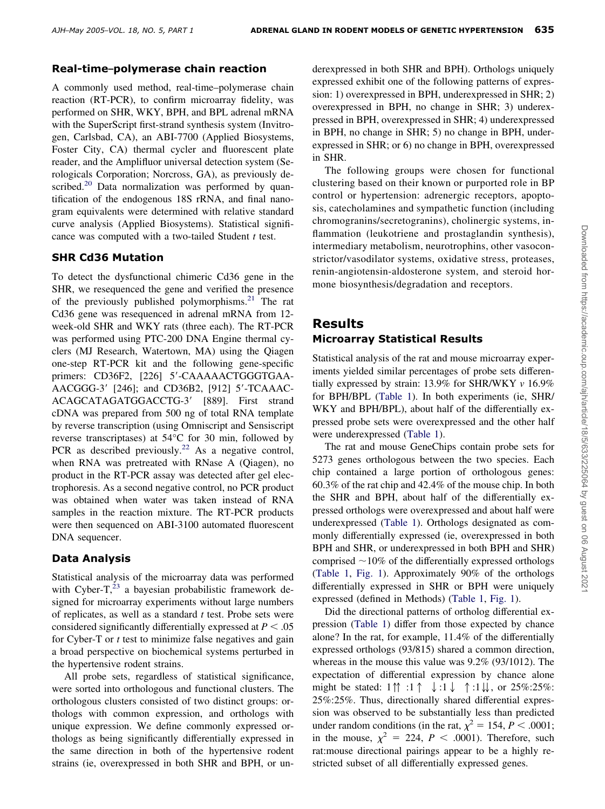#### **Real-time–polymerase chain reaction**

A commonly used method, real-time–polymerase chain reaction (RT-PCR), to confirm microarray fidelity, was performed on SHR, WKY, BPH, and BPL adrenal mRNA with the SuperScript first-strand synthesis system (Invitrogen, Carlsbad, CA), an ABI-7700 (Applied Biosystems, Foster City, CA) thermal cycler and fluorescent plate reader, and the Amplifluor universal detection system (Serologicals Corporation; Norcross, GA), as previously described. $20$  Data normalization was performed by quantification of the endogenous 18S rRNA, and final nanogram equivalents were determined with relative standard curve analysis (Applied Biosystems). Statistical significance was computed with a two-tailed Student *t* test.

# **SHR Cd36 Mutation**

To detect the dysfunctional chimeric Cd36 gene in the SHR, we resequenced the gene and verified the presence of the previously published polymorphisms.<sup>21</sup> The rat Cd36 gene was resequenced in adrenal mRNA from 12 week-old SHR and WKY rats (three each). The RT-PCR was performed using PTC-200 DNA Engine thermal cyclers (MJ Research, Watertown, MA) using the Qiagen one-step RT-PCR kit and the following gene-specific primers: CD36F2, [226] 5'-CAAAAACTGGGTGAA-AACGGG-3' [246]; and CD36B2, [912] 5'-TCAAAC-ACAGCATAGATGGACCTG-3' [889]. First strand cDNA was prepared from 500 ng of total RNA template by reverse transcription (using Omniscript and Sensiscript reverse transcriptases) at 54°C for 30 min, followed by PCR as described previously.<sup>22</sup> As a negative control, when RNA was pretreated with RNase A (Qiagen), no product in the RT-PCR assay was detected after gel electrophoresis. As a second negative control, no PCR product was obtained when water was taken instead of RNA samples in the reaction mixture. The RT-PCR products were then sequenced on ABI-3100 automated fluorescent DNA sequencer.

# **Data Analysis**

Statistical analysis of the microarray data was performed with Cyber-T, $^{23}$  a bayesian probabilistic framework designed for microarray experiments without large numbers of replicates, as well as a standard *t* test. Probe sets were considered significantly differentially expressed at  $P < .05$ for Cyber-T or *t* test to minimize false negatives and gain a broad perspective on biochemical systems perturbed in the hypertensive rodent strains.

All probe sets, regardless of statistical significance, were sorted into orthologous and functional clusters. The orthologous clusters consisted of two distinct groups: orthologs with common expression, and orthologs with unique expression. We define commonly expressed orthologs as being significantly differentially expressed in the same direction in both of the hypertensive rodent strains (ie, overexpressed in both SHR and BPH, or underexpressed in both SHR and BPH). Orthologs uniquely expressed exhibit one of the following patterns of expression: 1) overexpressed in BPH, underexpressed in SHR; 2) overexpressed in BPH, no change in SHR; 3) underexpressed in BPH, overexpressed in SHR; 4) underexpressed in BPH, no change in SHR; 5) no change in BPH, underexpressed in SHR; or 6) no change in BPH, overexpressed in SHR.

The following groups were chosen for functional clustering based on their known or purported role in BP control or hypertension: adrenergic receptors, apoptosis, catecholamines and sympathetic function (including chromogranins/secretogranins), cholinergic systems, inflammation (leukotriene and prostaglandin synthesis), intermediary metabolism, neurotrophins, other vasoconstrictor/vasodilator systems, oxidative stress, proteases, renin-angiotensin-aldosterone system, and steroid hormone biosynthesis/degradation and receptors.

# **Results**

# **Microarray Statistical Results**

Statistical analysis of the rat and mouse microarray experiments yielded similar percentages of probe sets differentially expressed by strain: 13.9% for SHR/WKY *v* 16.9% for BPH/BPL (Table 1). In both experiments (ie, SHR/ WKY and BPH/BPL), about half of the differentially expressed probe sets were overexpressed and the other half were underexpressed (Table 1).

The rat and mouse GeneChips contain probe sets for 5273 genes orthologous between the two species. Each chip contained a large portion of orthologous genes: 60.3% of the rat chip and 42.4% of the mouse chip. In both the SHR and BPH, about half of the differentially expressed orthologs were overexpressed and about half were underexpressed (Table 1). Orthologs designated as commonly differentially expressed (ie, overexpressed in both BPH and SHR, or underexpressed in both BPH and SHR) comprised  $\sim$ 10% of the differentially expressed orthologs (Table 1, Fig. 1). Approximately 90% of the orthologs differentially expressed in SHR or BPH were uniquely expressed (defined in Methods) (Table 1, Fig. 1).

Did the directional patterns of ortholog differential expression (Table 1) differ from those expected by chance alone? In the rat, for example, 11.4% of the differentially expressed orthologs (93/815) shared a common direction, whereas in the mouse this value was 9.2% (93/1012). The expectation of differential expression by chance alone might be stated:  $1 \uparrow \uparrow :1 \uparrow \downarrow :1 \downarrow \uparrow :1 \downarrow$ , or 25%:25%: 25%:25%. Thus, directionally shared differential expression was observed to be substantially less than predicted under random conditions (in the rat,  $\chi^2 = 154$ ,  $P < .0001$ ; in the mouse,  $\chi^2 = 224$ ,  $P < .0001$ ). Therefore, such rat:mouse directional pairings appear to be a highly restricted subset of all differentially expressed genes.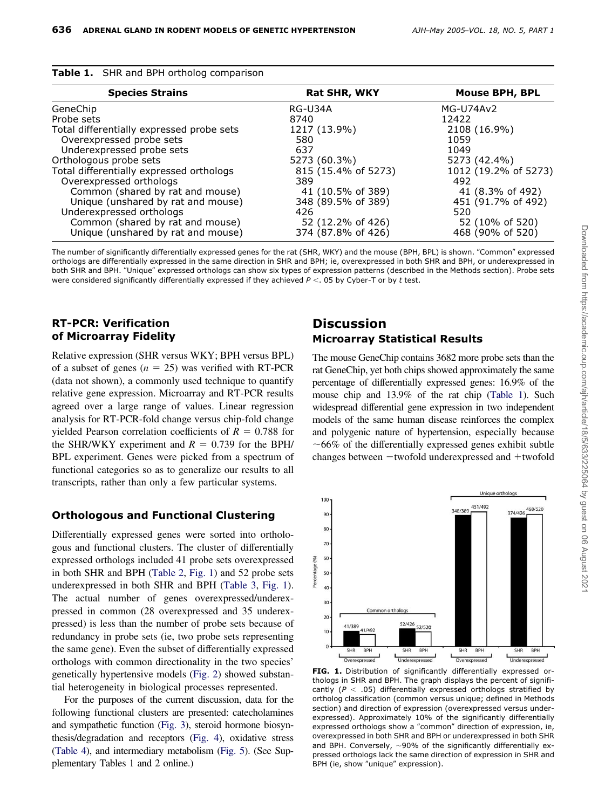| Table 1. |  |  |  | SHR and BPH ortholog comparison |
|----------|--|--|--|---------------------------------|
|          |  |  |  |                                 |

| <b>Species Strains</b>                    | <b>Rat SHR, WKY</b> | Mouse BPH, BPL       |
|-------------------------------------------|---------------------|----------------------|
| GeneChip                                  | RG-U34A             | MG-U74Av2            |
| Probe sets                                | 8740                | 12422                |
| Total differentially expressed probe sets | 1217 (13.9%)        | 2108 (16.9%)         |
| Overexpressed probe sets                  | 580                 | 1059                 |
| Underexpressed probe sets                 | 637                 | 1049                 |
| Orthologous probe sets                    | 5273 (60.3%)        | 5273 (42.4%)         |
| Total differentially expressed orthologs  | 815 (15.4% of 5273) | 1012 (19.2% of 5273) |
| Overexpressed orthologs                   | 389                 | 492                  |
| Common (shared by rat and mouse)          | 41 (10.5% of 389)   | 41 (8.3% of 492)     |
| Unique (unshared by rat and mouse)        | 348 (89.5% of 389)  | 451 (91.7% of 492)   |
| Underexpressed orthologs                  | 426                 | 520                  |
| Common (shared by rat and mouse)          | 52 (12.2% of 426)   | 52 (10% of 520)      |
| Unique (unshared by rat and mouse)        | 374 (87.8% of 426)  | 468 (90% of 520)     |

The number of significantly differentially expressed genes for the rat (SHR, WKY) and the mouse (BPH, BPL) is shown. "Common" expressed orthologs are differentially expressed in the same direction in SHR and BPH; ie, overexpressed in both SHR and BPH, or underexpressed in both SHR and BPH. "Unique" expressed orthologs can show six types of expression patterns (described in the Methods section). Probe sets were considered significantly differentially expressed if they achieved  $P <$ . 05 by Cyber-T or by *t* test.

# **RT-PCR: Verification of Microarray Fidelity**

Relative expression (SHR versus WKY; BPH versus BPL) of a subset of genes  $(n = 25)$  was verified with RT-PCR (data not shown), a commonly used technique to quantify relative gene expression. Microarray and RT-PCR results agreed over a large range of values. Linear regression analysis for RT-PCR-fold change versus chip-fold change yielded Pearson correlation coefficients of  $R = 0.788$  for the SHR/WKY experiment and  $R = 0.739$  for the BPH/ BPL experiment. Genes were picked from a spectrum of functional categories so as to generalize our results to all transcripts, rather than only a few particular systems.

#### **Orthologous and Functional Clustering**

Differentially expressed genes were sorted into orthologous and functional clusters. The cluster of differentially expressed orthologs included 41 probe sets overexpressed in both SHR and BPH (Table 2, Fig. 1) and 52 probe sets underexpressed in both SHR and BPH (Table 3, Fig. 1). The actual number of genes overexpressed/underexpressed in common (28 overexpressed and 35 underexpressed) is less than the number of probe sets because of redundancy in probe sets (ie, two probe sets representing the same gene). Even the subset of differentially expressed orthologs with common directionality in the two species' genetically hypertensive models (Fig. 2) showed substantial heterogeneity in biological processes represented.

For the purposes of the current discussion, data for the following functional clusters are presented: catecholamines and sympathetic function (Fig. 3), steroid hormone biosynthesis/degradation and receptors (Fig. 4), oxidative stress (Table 4), and intermediary metabolism (Fig. 5). (See Supplementary Tables 1 and 2 online.)

# **Discussion Microarray Statistical Results**

The mouse GeneChip contains 3682 more probe sets than the rat GeneChip, yet both chips showed approximately the same percentage of differentially expressed genes: 16.9% of the mouse chip and 13.9% of the rat chip (Table 1). Such widespread differential gene expression in two independent models of the same human disease reinforces the complex and polygenic nature of hypertension, especially because  $~106\%$  of the differentially expressed genes exhibit subtle changes between -twofold underexpressed and +twofold



**FIG. 1.** Distribution of significantly differentially expressed orthologs in SHR and BPH. The graph displays the percent of significantly ( $P < .05$ ) differentially expressed orthologs stratified by ortholog classification (common versus unique; defined in Methods section) and direction of expression (overexpressed versus underexpressed). Approximately 10% of the significantly differentially expressed orthologs show a "common" direction of expression, ie, overexpressed in both SHR and BPH or underexpressed in both SHR and BPH. Conversely,  $\sim$ 90% of the significantly differentially expressed orthologs lack the same direction of expression in SHR and BPH (ie, show "unique" expression).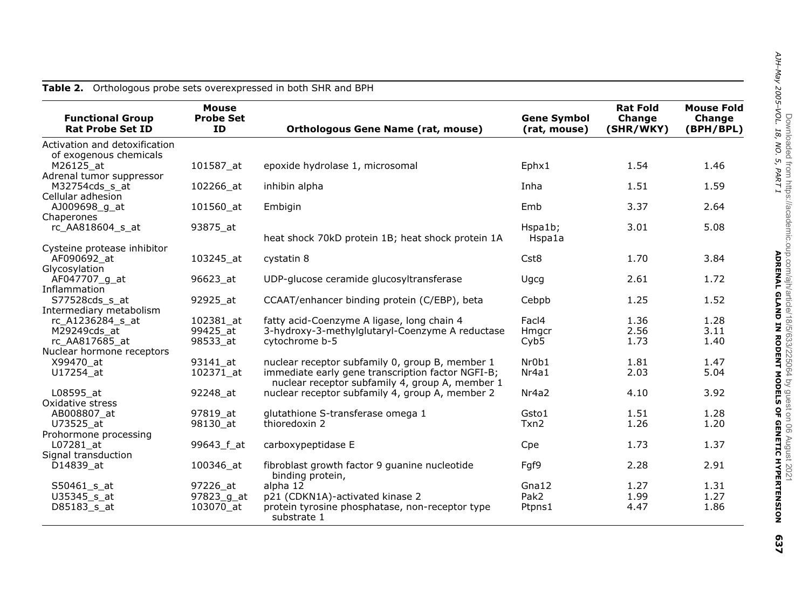| <b>Functional Group</b><br><b>Rat Probe Set ID</b> | <b>Mouse</b><br><b>Probe Set</b><br>ID | <b>Orthologous Gene Name (rat, mouse)</b>         | <b>Gene Symbol</b><br>(rat, mouse) | <b>Rat Fold</b><br>Change<br>(SHR/WKY) | <b>Mouse Fold</b><br>Change<br>(BPH/BPL) |
|----------------------------------------------------|----------------------------------------|---------------------------------------------------|------------------------------------|----------------------------------------|------------------------------------------|
| Activation and detoxification                      |                                        |                                                   |                                    |                                        |                                          |
| of exogenous chemicals                             |                                        |                                                   |                                    |                                        |                                          |
| M26125 at                                          | 101587 at                              | epoxide hydrolase 1, microsomal                   | Ephx1                              | 1.54                                   | 1.46                                     |
| Adrenal tumor suppressor                           |                                        |                                                   |                                    |                                        |                                          |
| M32754cds_s_at                                     | 102266_at                              | inhibin alpha                                     | Inha                               | 1.51                                   | 1.59                                     |
| Cellular adhesion                                  |                                        |                                                   |                                    |                                        |                                          |
| AJ009698_g_at                                      | 101560_at                              | Embigin                                           | Emb                                | 3.37                                   | 2.64                                     |
| Chaperones                                         |                                        |                                                   |                                    |                                        |                                          |
| rc_AA818604_s_at                                   | 93875_at                               |                                                   | Hspa1b;                            | 3.01                                   | 5.08                                     |
|                                                    |                                        | heat shock 70kD protein 1B; heat shock protein 1A | Hspa1a                             |                                        |                                          |
| Cysteine protease inhibitor                        |                                        |                                                   |                                    |                                        |                                          |
| AF090692 at                                        | 103245_at                              | cystatin 8                                        | Cst8                               | 1.70                                   | 3.84                                     |
| Glycosylation                                      |                                        |                                                   |                                    |                                        |                                          |
| AF047707_g_at                                      | 96623_at                               | UDP-glucose ceramide glucosyltransferase          | Ugcg                               | 2.61                                   | 1.72                                     |
| Inflammation                                       |                                        |                                                   |                                    |                                        |                                          |
| S77528cds s at                                     | 92925_at                               | CCAAT/enhancer binding protein (C/EBP), beta      | Cebpb                              | 1.25                                   | 1.52                                     |
| Intermediary metabolism                            |                                        |                                                   |                                    |                                        |                                          |
| rc_A1236284_s_at                                   | 102381 at                              | fatty acid-Coenzyme A ligase, long chain 4        | Facl4                              | 1.36                                   | 1.28                                     |
| M29249cds at                                       | 99425 at                               | 3-hydroxy-3-methylglutaryl-Coenzyme A reductase   | Hmgcr                              | 2.56                                   | 3.11                                     |
| rc_AA817685_at                                     | 98533_at                               | cytochrome b-5                                    | Cyb <sub>5</sub>                   | 1.73                                   | 1.40                                     |
| Nuclear hormone receptors                          |                                        |                                                   |                                    |                                        |                                          |
| X99470 at                                          | 93141 at                               | nuclear receptor subfamily 0, group B, member 1   | Nr0b1                              | 1.81                                   | 1.47                                     |
| U17254 at                                          | 102371 at                              | immediate early gene transcription factor NGFI-B; | Nr4a1                              | 2.03                                   | 5.04                                     |
|                                                    |                                        | nuclear receptor subfamily 4, group A, member 1   |                                    |                                        |                                          |
| L08595 at                                          | 92248_at                               | nuclear receptor subfamily 4, group A, member 2   | Nr4a2                              | 4.10                                   | 3.92                                     |
| Oxidative stress                                   |                                        |                                                   |                                    |                                        |                                          |
| AB008807 at                                        | 97819 at                               | glutathione S-transferase omega 1                 | Gsto1                              | 1.51                                   | 1.28                                     |
| U73525 at                                          | 98130_at                               | thioredoxin 2                                     | Txn2                               | 1.26                                   | 1.20                                     |
| Prohormone processing                              |                                        |                                                   |                                    |                                        |                                          |
| L07281 at                                          | 99643_f_at                             | carboxypeptidase E                                | Cpe                                | 1.73                                   | 1.37                                     |
| Signal transduction                                |                                        |                                                   |                                    |                                        |                                          |
| D14839 at                                          | 100346 at                              | fibroblast growth factor 9 guanine nucleotide     | Fgf9                               | 2.28                                   | 2.91                                     |
|                                                    |                                        | binding protein,                                  |                                    |                                        |                                          |
| S50461_s_at                                        | 97226 at                               | alpha 12                                          | Gna12                              | 1.27                                   | 1.31                                     |
| U35345 s at                                        | 97823 g at                             | p21 (CDKN1A)-activated kinase 2                   | Pak2                               | 1.99                                   | 1.27                                     |
| D85183 s at                                        | 103070_at                              | protein tyrosine phosphatase, non-receptor type   | Ptpns1                             | 4.47                                   | 1.86                                     |
|                                                    |                                        | substrate 1                                       |                                    |                                        |                                          |

# **Table 2.** Orthologous probe sets overexpressed in both SHR and BPH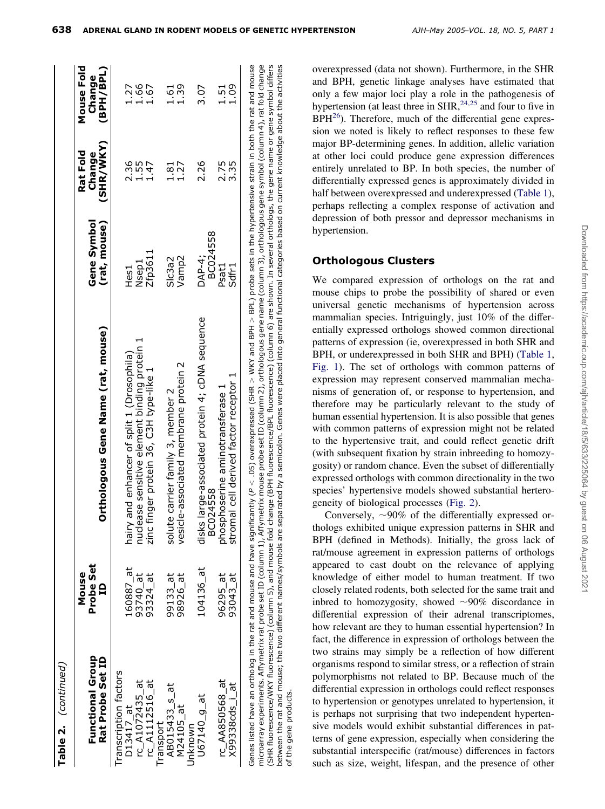| Table 2. $(conting)$                                                                    |                                    |                                                                                                                                                                                                                                                                                                                                                                                                                                                                                                                                                                                                                                                                                                                           |                                 |                                 |                                   |
|-----------------------------------------------------------------------------------------|------------------------------------|---------------------------------------------------------------------------------------------------------------------------------------------------------------------------------------------------------------------------------------------------------------------------------------------------------------------------------------------------------------------------------------------------------------------------------------------------------------------------------------------------------------------------------------------------------------------------------------------------------------------------------------------------------------------------------------------------------------------------|---------------------------------|---------------------------------|-----------------------------------|
| Functional Group<br>Rat Probe Set ID                                                    | Probe Set<br>Mouse<br>$\mathbf{a}$ | Orthologous Gene Name (rat, mouse)                                                                                                                                                                                                                                                                                                                                                                                                                                                                                                                                                                                                                                                                                        | Gene Symbol<br>(rat, mouse)     | (SHR/WKY)<br>Rat Fold<br>Change | Mouse Fold<br>(BPH/BPL)<br>Change |
| Transcription factors<br>D13417 at                                                      | $160887$ _at                       | and enhancer of split 1 (Drosophila)<br>hairy                                                                                                                                                                                                                                                                                                                                                                                                                                                                                                                                                                                                                                                                             | Hes1                            |                                 |                                   |
| rc A1072435 at<br>rc A1112516 at                                                        | 93740_at<br>93324_at               | nuclease sensitive element binding protein<br>zinc finger protein 36, C3H type-like 1                                                                                                                                                                                                                                                                                                                                                                                                                                                                                                                                                                                                                                     | Zfp3611<br>Nsep1                | 2 1 1 1<br>2 1 1 4<br>2 1 1 2   | 11667<br>11667                    |
| Transport                                                                               |                                    |                                                                                                                                                                                                                                                                                                                                                                                                                                                                                                                                                                                                                                                                                                                           |                                 |                                 |                                   |
| AB015433 s at                                                                           | $99133$ _at                        | e carrier family 3, member 2<br>solut                                                                                                                                                                                                                                                                                                                                                                                                                                                                                                                                                                                                                                                                                     | SIc <sub>3</sub> a <sub>2</sub> | 1.81                            | $-51$                             |
| M24105_at                                                                               | 98926_at                           | vesicle-associated membrane protein 2                                                                                                                                                                                                                                                                                                                                                                                                                                                                                                                                                                                                                                                                                     | Vamp2                           | 1.27                            | 1.39                              |
| Unknown                                                                                 |                                    |                                                                                                                                                                                                                                                                                                                                                                                                                                                                                                                                                                                                                                                                                                                           |                                 |                                 |                                   |
| $U67140_g$ at                                                                           | 104136 at                          | disks large-associated protein 4; cDNA sequence<br>BC024558                                                                                                                                                                                                                                                                                                                                                                                                                                                                                                                                                                                                                                                               | BC024558<br>DAP-4:              | 2.26                            | 3.07                              |
| rc AA850568 at                                                                          | 96295 at                           | phosphoserine aminotransferase 1                                                                                                                                                                                                                                                                                                                                                                                                                                                                                                                                                                                                                                                                                          | Psat1                           | 2.75<br>2.35<br>2.3             | $\frac{1}{2}$                     |
| $X99338cds_i$ <sub>_d</sub> at                                                          | 93043 at                           | stromal cell derived factor receptor 1                                                                                                                                                                                                                                                                                                                                                                                                                                                                                                                                                                                                                                                                                    | Sdfr1                           |                                 | 1.09                              |
| (SHR fluorescence/WKY fluorescence) (column 5), and mouse fold<br>of the gene products. |                                    | Genes listed have an ortholog in the rat and mouse and have significantly (P < .05) overexpressed (SHR > WKY and BPH > BPL) probe sets in the hypertensive strain in both the rat and mouse<br>microarray experiments. Affymetrix rat probe set ID (column 1), Affymetrix mouse probe set ID (column 2), orthologous gene (column 3), orthologous gene symbol (column 4), rat fold change<br>change (BPH fluorescence/BPL fluorescence) (column 6) are shown. In several orthologs, the gene name or gene symbol differs<br>between the rat and mouse; the two different names/symbols are separated by a semicolon. Genes were placed into general functional categories based on current knowledge about the activities |                                 |                                 |                                   |

of the gene products.

the gene products.

overexpressed (data not shown). Furthermore, in the SHR and BPH, genetic linkage analyses have estimated that only a few major loci play a role in the pathogenesis of hypertension (at least three in  $SHR$ ,  $24,25$  and four to five in  $BPH<sup>26</sup>$ ). Therefore, much of the differential gene expression we noted is likely to reflect responses to these few major BP-determining genes. In addition, allelic variation at other loci could produce gene expression differences entirely unrelated to BP. In both species, the number of differentially expressed genes is approximately divided in half between overexpressed and underexpressed (Table 1), perhaps reflecting a complex response of activation and depression of both pressor and depressor mechanisms in hypertension.

# **Orthologous Clusters**

We compared expression of orthologs on the rat and mouse chips to probe the possibility of shared or even universal genetic mechanisms of hypertension across mammalian species. Intriguingly, just 10% of the differentially expressed orthologs showed common directional patterns of expression (ie, overexpressed in both SHR and BPH, or underexpressed in both SHR and BPH) (Table 1, Fig. 1). The set of orthologs with common patterns of expression may represent conserved mammalian mechanisms of generation of, or response to hypertension, and therefore may be particularly relevant to the study of human essential hypertension. It is also possible that genes with common patterns of expression might not be related to the hypertensive trait, and could reflect genetic drift (with subsequent fixation by strain inbreeding to homozygosity) or random chance. Even the subset of differentially expressed orthologs with common directionality in the two species' hypertensive models showed substantial herterogeneity of biological processes (Fig. 2).

Conversely,  $\sim 90\%$  of the differentially expressed orthologs exhibited unique expression patterns in SHR and BPH (defined in Methods). Initially, the gross lack of rat/mouse agreement in expression patterns of orthologs appeared to cast doubt on the relevance of applying knowledge of either model to human treatment. If two closely related rodents, both selected for the same trait and inbred to homozygosity, showed  $\sim 90\%$  discordance in differential expression of their adrenal transcriptomes, how relevant are they to human essential hypertension? In fact, the difference in expression of orthologs between the two strains may simply be a reflection of how different organisms respond to similar stress, or a reflection of strain polymorphisms not related to BP. Because much of the differential expression in orthologs could reflect responses to hypertension or genotypes unrelated to hypertension, it is perhaps not surprising that two independent hypertensive models would exhibit substantial differences in patterns of gene expression, especially when considering the substantial interspecific (rat/mouse) differences in factors such as size, weight, lifespan, and the presence of other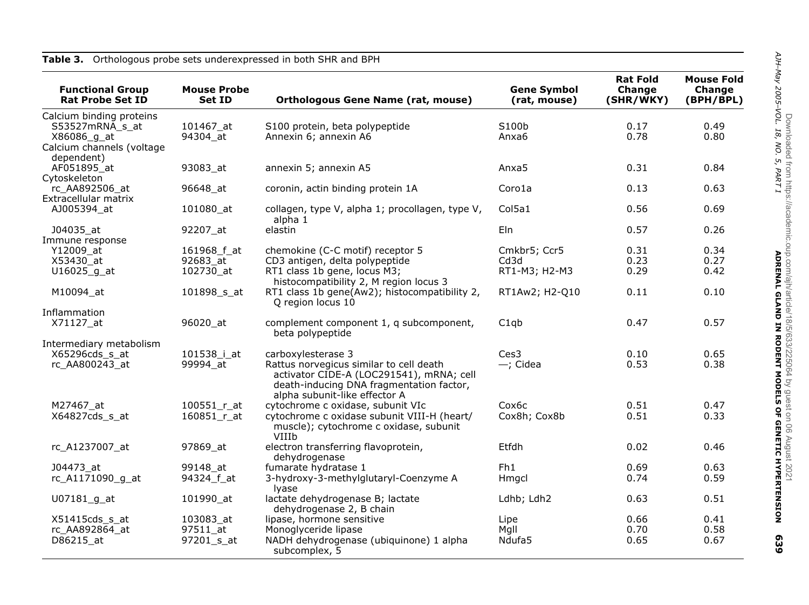| <b>Functional Group</b><br><b>Rat Probe Set ID</b> | <b>Mouse Probe</b><br><b>Set ID</b> | <b>Orthologous Gene Name (rat, mouse)</b>                                                                                                                        | <b>Gene Symbol</b><br>(rat, mouse) | <b>Rat Fold</b><br>Change<br>(SHR/WKY) | <b>Mouse Fold</b><br>Change<br>(BPH/BPL) |
|----------------------------------------------------|-------------------------------------|------------------------------------------------------------------------------------------------------------------------------------------------------------------|------------------------------------|----------------------------------------|------------------------------------------|
| Calcium binding proteins                           |                                     |                                                                                                                                                                  |                                    |                                        |                                          |
| S53527mRNA_s_at                                    | 101467_at                           | S100 protein, beta polypeptide                                                                                                                                   | S100b                              | 0.17                                   | 0.49                                     |
| X86086_g_at                                        | 94304 at                            | Annexin 6; annexin A6                                                                                                                                            | Anxa6                              | 0.78                                   | 0.80                                     |
| Calcium channels (voltage<br>dependent)            |                                     |                                                                                                                                                                  |                                    |                                        |                                          |
| AF051895 at                                        | 93083 at                            | annexin 5; annexin A5                                                                                                                                            | Anxa5                              | 0.31                                   | 0.84                                     |
| Cytoskeleton                                       |                                     |                                                                                                                                                                  |                                    | 0.13                                   | 0.63                                     |
| rc_AA892506_at                                     | 96648_at                            | coronin, actin binding protein 1A                                                                                                                                | Coro1a                             |                                        |                                          |
| Extracellular matrix                               |                                     |                                                                                                                                                                  |                                    |                                        | 0.69                                     |
| AJ005394_at                                        | 101080_at                           | collagen, type V, alpha 1; procollagen, type V,                                                                                                                  | Col5a1                             | 0.56                                   |                                          |
|                                                    |                                     | alpha 1                                                                                                                                                          |                                    |                                        |                                          |
| J04035 at                                          | 92207 at                            | elastin                                                                                                                                                          | Eln                                | 0.57                                   | 0.26                                     |
| Immune response                                    |                                     |                                                                                                                                                                  |                                    |                                        |                                          |
| Y12009_at                                          | 161968 f at                         | chemokine (C-C motif) receptor 5                                                                                                                                 | Cmkbr5; Ccr5                       | 0.31                                   | 0.34                                     |
| X53430 at                                          | 92683 at                            | CD3 antigen, delta polypeptide                                                                                                                                   | Cd3d                               | 0.23                                   | 0.27                                     |
| $U16025_g$ _at                                     | 102730_at                           | RT1 class 1b gene, locus M3;                                                                                                                                     | RT1-M3; H2-M3                      | 0.29                                   | 0.42                                     |
|                                                    |                                     | histocompatibility 2, M region locus 3                                                                                                                           |                                    |                                        |                                          |
| M10094_at                                          | 101898_s_at                         | RT1 class 1b gene(Aw2); histocompatibility 2,<br>Q region locus 10                                                                                               | RT1Aw2; H2-Q10                     | 0.11                                   | 0.10                                     |
| Inflammation                                       |                                     |                                                                                                                                                                  |                                    |                                        |                                          |
| X71127_at                                          | 96020_at                            | complement component 1, q subcomponent,<br>beta polypeptide                                                                                                      | C1qb                               | 0.47                                   | 0.57                                     |
| Intermediary metabolism                            |                                     |                                                                                                                                                                  |                                    |                                        |                                          |
| X65296cds s at                                     | 101538_i_at                         | carboxylesterase 3                                                                                                                                               | Ces <sub>3</sub>                   | 0.10                                   | 0.65                                     |
| rc AA800243 at                                     | 99994 at                            | Rattus norvegicus similar to cell death<br>activator CIDE-A (LOC291541), mRNA; cell<br>death-inducing DNA fragmentation factor,<br>alpha subunit-like effector A | $-$ ; Cidea                        | 0.53                                   | 0.38                                     |
| M27467 at                                          | 100551 r at                         | cytochrome c oxidase, subunit VIc                                                                                                                                | Cox <sub>6</sub> c                 | 0.51                                   | 0.47                                     |
|                                                    |                                     | cytochrome c oxidase subunit VIII-H (heart/                                                                                                                      |                                    | 0.51                                   | 0.33                                     |
| X64827cds_s_at                                     | 160851_r_at                         | muscle); cytochrome c oxidase, subunit<br>VIIIb                                                                                                                  | Cox8h; Cox8b                       |                                        |                                          |
| rc_A1237007_at                                     | 97869_at                            | electron transferring flavoprotein,<br>dehydrogenase                                                                                                             | Etfdh                              | 0.02                                   | 0.46                                     |
| J04473 at                                          | 99148 at                            | fumarate hydratase 1                                                                                                                                             | Fh1                                | 0.69                                   | 0.63                                     |
| rc_A1171090_g_at                                   | 94324_f_at                          | 3-hydroxy-3-methylglutaryl-Coenzyme A                                                                                                                            | Hmgcl                              | 0.74                                   | 0.59                                     |
|                                                    |                                     | lyase                                                                                                                                                            |                                    |                                        |                                          |
| U07181_g_at                                        | 101990_at                           | lactate dehydrogenase B; lactate<br>dehydrogenase 2, B chain                                                                                                     | Ldhb; Ldh2                         | 0.63                                   | 0.51                                     |
| X51415cds s at                                     | 103083 at                           | lipase, hormone sensitive                                                                                                                                        | Lipe                               | 0.66                                   | 0.41                                     |
| rc_AA892864_at                                     | 97511_at                            | Monoglyceride lipase                                                                                                                                             | MgIl                               | 0.70                                   | 0.58                                     |
| D86215_at                                          | 97201_s_at                          | NADH dehydrogenase (ubiquinone) 1 alpha<br>subcomplex, 5                                                                                                         | Ndufa5                             | 0.65                                   | 0.67                                     |

**Table 3.** Orthologous probe sets underexpressed in both SHR and BPH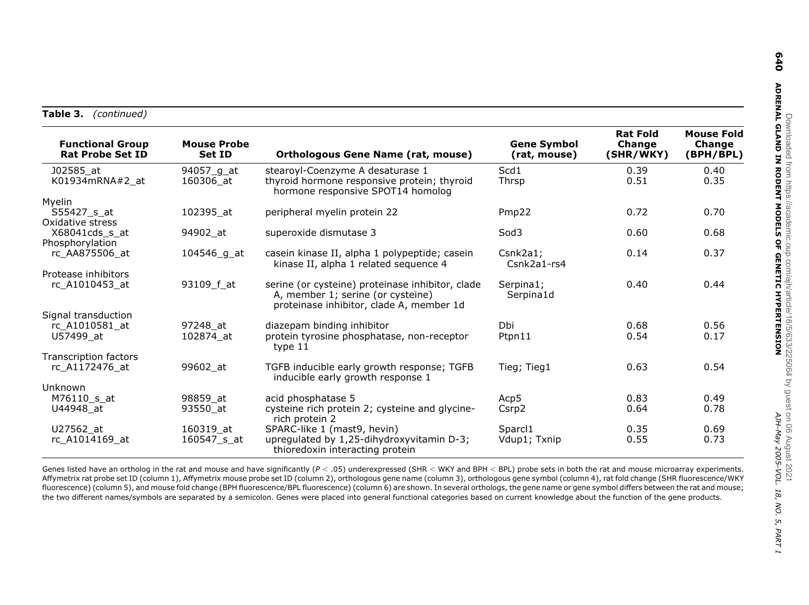| <b>Functional Group</b><br><b>Rat Probe Set ID</b> | <b>Mouse Probe</b><br><b>Set ID</b> | <b>Orthologous Gene Name (rat, mouse)</b>                                                                                         | <b>Gene Symbol</b><br>(rat, mouse) | <b>Rat Fold</b><br>Change<br>(SHR/WKY) | <b>Mouse Fold</b><br>Change<br>(BPH/BPL) |
|----------------------------------------------------|-------------------------------------|-----------------------------------------------------------------------------------------------------------------------------------|------------------------------------|----------------------------------------|------------------------------------------|
| J02585 at                                          | 94057_g_at                          | stearoyl-Coenzyme A desaturase 1                                                                                                  | Scd1                               | 0.39                                   | 0.40                                     |
| K01934mRNA#2_at                                    | 160306 at                           | thyroid hormone responsive protein; thyroid<br>hormone responsive SPOT14 homolog                                                  | Thrsp                              | 0.51                                   | 0.35                                     |
| Myelin                                             |                                     |                                                                                                                                   |                                    |                                        |                                          |
| S55427 s at<br>Oxidative stress                    | 102395_at                           | peripheral myelin protein 22                                                                                                      | Pmp22                              | 0.72                                   | 0.70                                     |
| X68041cds s at<br>Phosphorylation                  | 94902_at                            | superoxide dismutase 3                                                                                                            | Sod3                               | 0.60                                   | 0.68                                     |
| rc AA875506 at                                     | 104546_g_at                         | casein kinase II, alpha 1 polypeptide; casein<br>kinase II, alpha 1 related sequence 4                                            | Csnk2a1;<br>Csnk2a1-rs4            | 0.14                                   | 0.37                                     |
| Protease inhibitors                                |                                     |                                                                                                                                   |                                    |                                        |                                          |
| rc A1010453 at                                     | 93109_f_at                          | serine (or cysteine) proteinase inhibitor, clade<br>A, member 1; serine (or cysteine)<br>proteinase inhibitor, clade A, member 1d | Serpina1;<br>Serpina1d             | 0.40                                   | 0.44                                     |
| Signal transduction                                |                                     |                                                                                                                                   |                                    |                                        |                                          |
| rc_A1010581_at                                     | 97248 at                            | diazepam binding inhibitor                                                                                                        | <b>Dbi</b>                         | 0.68                                   | 0.56                                     |
| U57499 at                                          | 102874 at                           | protein tyrosine phosphatase, non-receptor<br>type 11                                                                             | Ptpn11                             | 0.54                                   | 0.17                                     |
| <b>Transcription factors</b>                       |                                     |                                                                                                                                   |                                    |                                        |                                          |
| rc_A1172476_at                                     | 99602_at                            | TGFB inducible early growth response; TGFB<br>inducible early growth response 1                                                   | Tieg; Tieg1                        | 0.63                                   | 0.54                                     |
| Unknown                                            |                                     |                                                                                                                                   |                                    |                                        |                                          |
| M76110_s_at                                        | 98859 at                            | acid phosphatase 5                                                                                                                | Acp5                               | 0.83                                   | 0.49                                     |
| U44948 at                                          | 93550 at                            | cysteine rich protein 2; cysteine and glycine-<br>rich protein 2                                                                  | Csrp <sub>2</sub>                  | 0.64                                   | 0.78                                     |
| U27562 at                                          | 160319 at                           | SPARC-like 1 (mast9, hevin)                                                                                                       | Sparc <sub>1</sub>                 | 0.35                                   | 0.69                                     |
| rc_A1014169_at                                     | 160547_s_at                         | upregulated by 1,25-dihydroxyvitamin D-3;<br>thioredoxin interacting protein                                                      | Vdup1; Txnip                       | 0.55                                   | 0.73                                     |

**Table 3.** *(continued)*

Genes listed have an ortholog in the rat and mouse and have significantly ( $P < .05$ ) underexpressed (SHR < WKY and BPH < BPL) probe sets in both the rat and mouse microarray experiments. Affymetrix rat probe set ID (column 1), Affymetrix mouse probe set ID (column 2), orthologous gene name (column 3), orthologous gene symbol (column 4), rat fold change (SHR fluorescence/WKY fluorescence) (column 5), and mouse fold change (BPH fluorescence/BPL fluorescence) (column 6) are shown. In several orthologs, the gene name or gene symbol differs between the rat and mouse; the two different names/symbols are separated by a semicolon. Genes were placed into general functional categories based on current knowledge about the function of the gene products.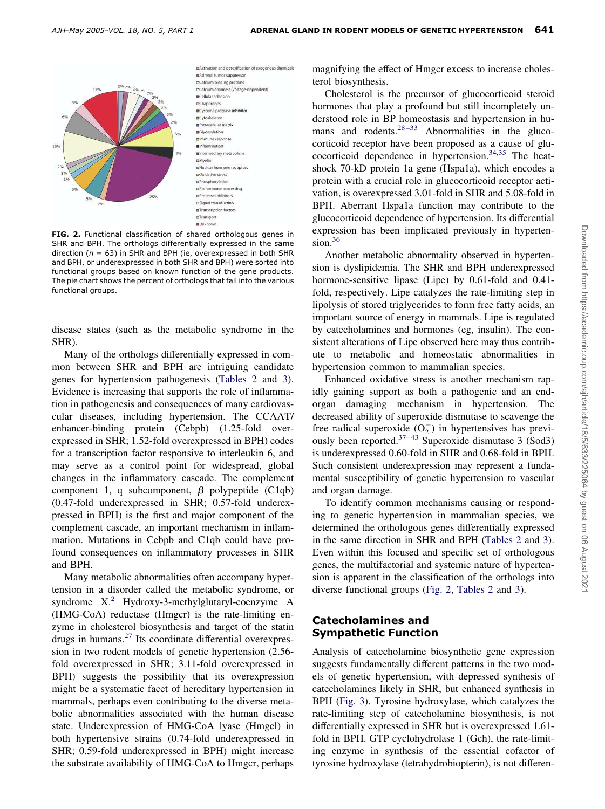

**FIG. 2.** Functional classification of shared orthologous genes in SHR and BPH. The orthologs differentially expressed in the same direction ( $n = 63$ ) in SHR and BPH (ie, overexpressed in both SHR and BPH, or underexpressed in both SHR and BPH) were sorted into functional groups based on known function of the gene products. The pie chart shows the percent of orthologs that fall into the various functional groups.

disease states (such as the metabolic syndrome in the SHR).

Many of the orthologs differentially expressed in common between SHR and BPH are intriguing candidate genes for hypertension pathogenesis (Tables 2 and 3). Evidence is increasing that supports the role of inflammation in pathogenesis and consequences of many cardiovascular diseases, including hypertension. The CCAAT/ enhancer-binding protein (Cebpb) (1.25-fold overexpressed in SHR; 1.52-fold overexpressed in BPH) codes for a transcription factor responsive to interleukin 6, and may serve as a control point for widespread, global changes in the inflammatory cascade. The complement component 1, q subcomponent,  $\beta$  polypeptide (C1qb) (0.47-fold underexpressed in SHR; 0.57-fold underexpressed in BPH) is the first and major component of the complement cascade, an important mechanism in inflammation. Mutations in Cebpb and C1qb could have profound consequences on inflammatory processes in SHR and BPH.

Many metabolic abnormalities often accompany hypertension in a disorder called the metabolic syndrome, or syndrome X.<sup>2</sup> Hydroxy-3-methylglutaryl-coenzyme A (HMG-CoA) reductase (Hmgcr) is the rate-limiting enzyme in cholesterol biosynthesis and target of the statin drugs in humans. $27$  Its coordinate differential overexpression in two rodent models of genetic hypertension (2.56 fold overexpressed in SHR; 3.11-fold overexpressed in BPH) suggests the possibility that its overexpression might be a systematic facet of hereditary hypertension in mammals, perhaps even contributing to the diverse metabolic abnormalities associated with the human disease state. Underexpression of HMG-CoA lyase (Hmgcl) in both hypertensive strains (0.74-fold underexpressed in SHR; 0.59-fold underexpressed in BPH) might increase the substrate availability of HMG-CoA to Hmgcr, perhaps

magnifying the effect of Hmgcr excess to increase cholesterol biosynthesis.

Cholesterol is the precursor of glucocorticoid steroid hormones that play a profound but still incompletely understood role in BP homeostasis and hypertension in humans and rodents.  $28-33$  Abnormalities in the glucocorticoid receptor have been proposed as a cause of glucocorticoid dependence in hypertension.<sup>34,35</sup> The heatshock 70-kD protein 1a gene (Hspa1a), which encodes a protein with a crucial role in glucocorticoid receptor activation, is overexpressed 3.01-fold in SHR and 5.08-fold in BPH. Aberrant Hspa1a function may contribute to the glucocorticoid dependence of hypertension. Its differential expression has been implicated previously in hypertension. $36$ 

Another metabolic abnormality observed in hypertension is dyslipidemia. The SHR and BPH underexpressed hormone-sensitive lipase (Lipe) by 0.61-fold and 0.41 fold, respectively. Lipe catalyzes the rate-limiting step in lipolysis of stored triglycerides to form free fatty acids, an important source of energy in mammals. Lipe is regulated by catecholamines and hormones (eg, insulin). The consistent alterations of Lipe observed here may thus contribute to metabolic and homeostatic abnormalities in hypertension common to mammalian species.

Enhanced oxidative stress is another mechanism rapidly gaining support as both a pathogenic and an endorgan damaging mechanism in hypertension. The decreased ability of superoxide dismutase to scavenge the free radical superoxide  $(O_2^-)$  in hypertensives has previously been reported.<sup>37–43</sup> Superoxide dismutase 3 (Sod3) is underexpressed 0.60-fold in SHR and 0.68-fold in BPH. Such consistent underexpression may represent a fundamental susceptibility of genetic hypertension to vascular and organ damage.

To identify common mechanisms causing or responding to genetic hypertension in mammalian species, we determined the orthologous genes differentially expressed in the same direction in SHR and BPH (Tables 2 and 3). Even within this focused and specific set of orthologous genes, the multifactorial and systemic nature of hypertension is apparent in the classification of the orthologs into diverse functional groups (Fig. 2, Tables 2 and 3).

#### **Catecholamines and Sympathetic Function**

Analysis of catecholamine biosynthetic gene expression suggests fundamentally different patterns in the two models of genetic hypertension, with depressed synthesis of catecholamines likely in SHR, but enhanced synthesis in BPH (Fig. 3). Tyrosine hydroxylase, which catalyzes the rate-limiting step of catecholamine biosynthesis, is not differentially expressed in SHR but is overexpressed 1.61 fold in BPH. GTP cyclohydrolase 1 (Gch), the rate-limiting enzyme in synthesis of the essential cofactor of tyrosine hydroxylase (tetrahydrobiopterin), is not differen-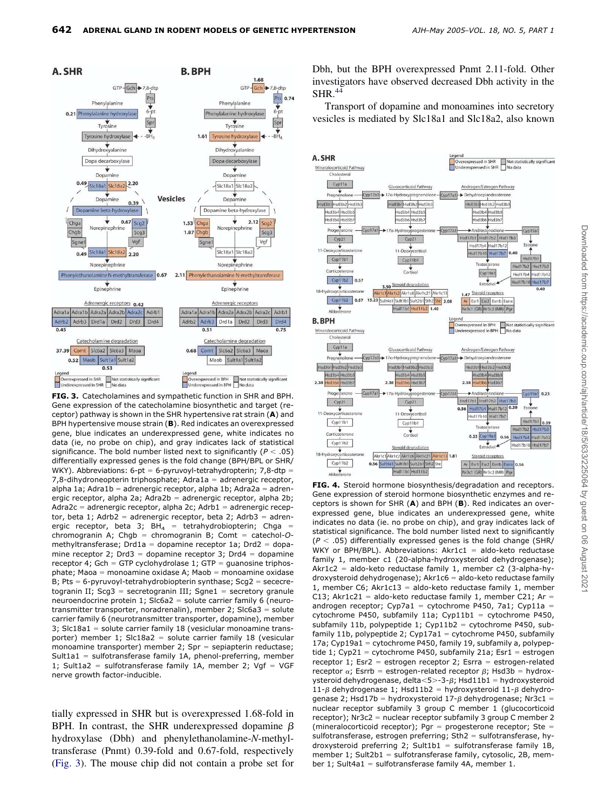

**FIG. 3.** Catecholamines and sympathetic function in SHR and BPH. Gene expression of the catecholamine biosynthetic and target (receptor) pathway is shown in the SHR hypertensive rat strain (**A**) and BPH hypertensive mouse strain (**B**). Red indicates an overexpressed gene, blue indicates an underexpressed gene, white indicates no data (ie, no probe on chip), and gray indicates lack of statistical significance. The bold number listed next to significantly  $(P < .05)$ differentially expressed genes is the fold change (BPH/BPL or SHR/ WKY). Abbreviations:  $6$ -pt =  $6$ -pyruvoyl-tetrahydropterin;  $7,8$ -dtp =  $7,8$ -dihydroneopterin triphosphate; Adra1a = adrenergic receptor, alpha 1a; Adra1b = adrenergic receptor, alpha 1b; Adra2a = adrenergic receptor, alpha 2a; Adra2b = adrenergic receptor, alpha 2b; Adra2c = adrenergic receptor, alpha 2c; Adrb1 = adrenergic receptor, beta 1; Adrb2 = adrenergic receptor, beta 2; Adrb3 = adrenergic receptor, beta 3;  $BH<sub>4</sub>$  = tetrahydrobiopterin; Chga = chromogranin A; Chgb = chromogranin B; Comt = catechol-Omethyltransferase; Drd1a = dopamine receptor 1a; Drd2 = dopamine receptor 2; Drd3 = dopamine receptor 3; Drd4 = dopamine receptor 4; Gch = GTP cyclohydrolase 1; GTP = guanosine triphosphate: Maoa = monoamine oxidase A: Maob = monoamine oxidase B; Pts = 6-pyruvoyl-tetrahydrobiopterin synthase;  $Scg2 = seccere$ togranin II; Scg3 = secretogranin III; Sgne1 = secretory granule neuroendocrine protein 1; Slc6a2 = solute carrier family 6 (neurotransmitter transporter, noradrenalin), member 2; SIc6a3 = solute carrier family 6 (neurotransmitter transporter, dopamine), member 3; Slc18a1 = solute carrier family 18 (vesiclular monoamine transporter) member 1; Slc18a2 = solute carrier family 18 (vesicular monoamine transporter) member  $2$ ; Spr = sepiapterin reductase; Sult1a1 = sulfotransferase family 1A, phenol-preferring, member 1; Sult1a2 = sulfotransferase family 1A, member 2; Vgf = VGF nerve growth factor-inducible.

Overexpressed in BPH Not statistically significant<br>Underexpressed in BPH No data

Overexpressed in SHR<br>
Mot statistically significant<br>
Underexpressed in SHR<br>
No data

tially expressed in SHR but is overexpressed 1.68-fold in BPH. In contrast, the SHR underexpressed dopamine  $\beta$ hydroxylase (Dbh) and phenylethanolamine-*N*-methyltransferase (Pnmt) 0.39-fold and 0.67-fold, respectively (Fig. 3). The mouse chip did not contain a probe set for Dbh, but the BPH overexpressed Pnmt 2.11-fold. Other investigators have observed decreased Dbh activity in the  $SHR<sup>44</sup>$ 

Transport of dopamine and monoamines into secretory vesicles is mediated by Slc18a1 and Slc18a2, also known



**FIG. 4.** Steroid hormone biosynthesis/degradation and receptors. Gene expression of steroid hormone biosynthetic enzymes and receptors is shown for SHR (**A**) and BPH (**B**). Red indicates an overexpressed gene, blue indicates an underexpressed gene, white indicates no data (ie. no probe on chip), and gray indicates lack of statistical significance. The bold number listed next to significantly  $(P < .05)$  differentially expressed genes is the fold change (SHR/ WKY or BPH/BPL). Abbreviations:  $Akr1c1 = aldo-keto$  reductase family 1, member c1 (20-alpha-hydroxysteroid dehydrogenase);  $Akr1c2 = aldo-keto$  reductase family 1, member c2 (3-alpha-hydroxysteroid dehydrogenase);  $Akr1c6 = aldo-keto$  reductase family 1, member C6; Akr1c13 = aldo-keto reductase family 1, member C13: Akr1c21 = aldo-keto reductase family 1, member C21: Ar = androgen receptor; Cyp7a1 = cytochrome P450, 7a1; Cyp11a = cytochrome P450, subfamily 11a; Cyp11b1 = cytochrome P450, subfamily 11b, polypeptide 1; Cyp11b2 = cytochrome P450, subfamily 11b, polypeptide 2; Cyp17a1 = cytochrome P450, subfamily 17a; Cyp19a1 = cytochrome P450, family 19, subfamily a, polypeptide 1; Cyp21 = cytochrome P450, subfamily 21a; Esr1 = estrogen receptor 1; Esr2 = estrogen receptor 2; Esrra = estrogen-related receptor  $\alpha$ ; Esrrb = estrogen-related receptor  $\beta$ ; Hsd3b = hydroxysteroid dehydrogenase, delta<5>-3- $\beta$ ; Hsd11b1 = hydroxysteroid  $11-\beta$  dehydrogenase 1; Hsd11b2 = hydroxysteroid  $11-\beta$  dehydrogenase 2; Hsd17b = hydroxysteroid  $17-\beta$  dehydrogenase; Nr3c1 = nuclear receptor subfamily 3 group C member 1 (glucocorticoid  $receptor$ ; Nr3c2 = nuclear receptor subfamily 3 group C member 2 (mineralocorticoid receptor); Pgr = progesterone receptor; Ste =  $s$ ulfotransferase, estrogen preferring; Sth2 = sulfotransferase, hydroxysteroid preferring 2; Sult1b1 = sulfotransferase family 1B, member 1; Sult2b1 = sulfotransferase family, cytosolic, 2B, member 1; Sult4a1 = sulfotransferase family 4A, member 1.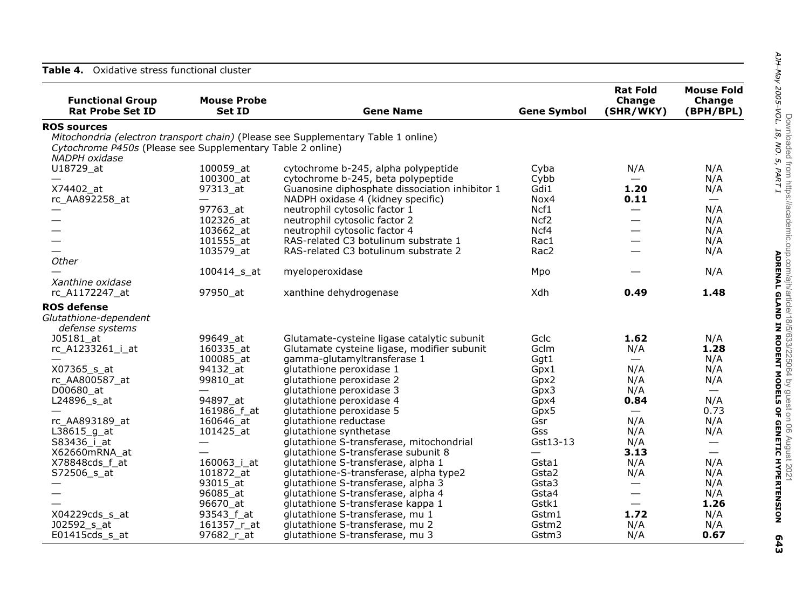| <b>Functional Group</b><br><b>Rat Probe Set ID</b>                          | <b>Mouse Probe</b><br><b>Set ID</b> | <b>Gene Name</b>                                                                  | <b>Gene Symbol</b>       | <b>Rat Fold</b><br>Change<br>(SHR/WKY) | <b>Mouse Fold</b><br>Change<br>(BPH/BPL) |
|-----------------------------------------------------------------------------|-------------------------------------|-----------------------------------------------------------------------------------|--------------------------|----------------------------------------|------------------------------------------|
| <b>ROS sources</b>                                                          |                                     | Mitochondria (electron transport chain) (Please see Supplementary Table 1 online) |                          |                                        |                                          |
| Cytochrome P450s (Please see Supplementary Table 2 online)<br>NADPH oxidase |                                     |                                                                                   |                          |                                        |                                          |
| U18729_at                                                                   | 100059_at                           | cytochrome b-245, alpha polypeptide                                               | Cyba                     | N/A                                    | N/A                                      |
|                                                                             | 100300 at                           | cytochrome b-245, beta polypeptide                                                | Cybb                     |                                        | N/A                                      |
| X74402 at                                                                   | 97313_at                            | Guanosine diphosphate dissociation inhibitor 1                                    | Gdi1                     | 1.20                                   | N/A                                      |
| rc_AA892258_at                                                              |                                     | NADPH oxidase 4 (kidney specific)                                                 | Nox4                     | 0.11                                   | $\overline{\phantom{m}}$                 |
|                                                                             | 97763 at                            | neutrophil cytosolic factor 1                                                     | Ncf1                     | —                                      | N/A                                      |
|                                                                             |                                     |                                                                                   | Ncf <sub>2</sub>         |                                        |                                          |
|                                                                             | 102326 at                           | neutrophil cytosolic factor 2                                                     |                          | —                                      | N/A                                      |
|                                                                             | 103662_at                           | neutrophil cytosolic factor 4                                                     | Ncf4                     | $\overline{\phantom{0}}$               | N/A                                      |
| $\equiv$                                                                    | 101555 at                           | RAS-related C3 botulinum substrate 1                                              | Rac1                     | $\equiv$                               | N/A                                      |
|                                                                             | 103579_at                           | RAS-related C3 botulinum substrate 2                                              | Rac2                     |                                        | N/A                                      |
| Other                                                                       |                                     |                                                                                   |                          |                                        |                                          |
|                                                                             | $100414$ <sub>_S_</sub> at          | myeloperoxidase                                                                   | Mpo                      |                                        | N/A                                      |
| Xanthine oxidase                                                            |                                     |                                                                                   |                          |                                        |                                          |
| rc_A1172247_at                                                              | 97950_at                            | xanthine dehydrogenase                                                            | Xdh                      | 0.49                                   | 1.48                                     |
| <b>ROS defense</b>                                                          |                                     |                                                                                   |                          |                                        |                                          |
| Glutathione-dependent                                                       |                                     |                                                                                   |                          |                                        |                                          |
| defense systems                                                             |                                     |                                                                                   |                          |                                        |                                          |
| J05181 at                                                                   | 99649 at                            | Glutamate-cysteine ligase catalytic subunit                                       | Gclc                     | 1.62                                   | N/A                                      |
| rc_A1233261_i_at                                                            | 160335 at                           | Glutamate cysteine ligase, modifier subunit                                       | Gclm                     | N/A                                    | 1.28                                     |
|                                                                             | 100085 at                           | gamma-glutamyltransferase 1                                                       | Ggt1                     | $\hspace{0.05cm}$                      | N/A                                      |
| X07365_s_at                                                                 | 94132 at                            | glutathione peroxidase 1                                                          | Gpx1                     | N/A                                    | N/A                                      |
| rc_AA800587_at                                                              | 99810_at                            | glutathione peroxidase 2                                                          | Gpx2                     | N/A                                    | N/A                                      |
| D00680_at                                                                   |                                     | glutathione peroxidase 3                                                          | Gpx3                     | N/A                                    | $\overline{\phantom{0}}$                 |
|                                                                             |                                     |                                                                                   |                          |                                        |                                          |
| L24896 s at                                                                 | 94897 at                            | glutathione peroxidase 4                                                          | Gpx4                     | 0.84                                   | N/A                                      |
|                                                                             | 161986_f_at                         | glutathione peroxidase 5                                                          | Gpx5                     | $\hspace{0.05cm}$                      | 0.73                                     |
| rc_AA893189_at                                                              | 160646_at                           | glutathione reductase                                                             | Gsr                      | N/A                                    | N/A                                      |
| $L38615$ q at                                                               | 101425_at                           | glutathione synthetase                                                            | Gss                      | N/A                                    | N/A                                      |
| S83436_i_at                                                                 |                                     | glutathione S-transferase, mitochondrial                                          | Gst13-13                 | N/A                                    | $\overbrace{\phantom{13333}}$            |
| X62660mRNA_at                                                               |                                     | glutathione S-transferase subunit 8                                               | $\overline{\phantom{0}}$ | 3.13                                   | $\equiv$                                 |
| X78848cds f at                                                              | 160063 i at                         | glutathione S-transferase, alpha 1                                                | Gsta1                    | N/A                                    | N/A                                      |
| S72506_s_at                                                                 | 101872 at                           | glutathione-S-transferase, alpha type2                                            | Gsta2                    | N/A                                    | N/A                                      |
|                                                                             | 93015_at                            | glutathione S-transferase, alpha 3                                                | Gsta3                    | $\overline{\phantom{0}}$               | N/A                                      |
| $\overline{\phantom{0}}$                                                    | 96085_at                            | glutathione S-transferase, alpha 4                                                | Gsta4                    | $\hspace{0.05cm}$                      | N/A                                      |
|                                                                             | 96670_at                            | glutathione S-transferase kappa 1                                                 | Gstk1                    | $\qquad \qquad =$                      | 1.26                                     |
| X04229cds_s_at                                                              | 93543_f_at                          | glutathione S-transferase, mu 1                                                   | Gstm1                    | 1.72                                   | N/A                                      |
| J02592_s_at                                                                 | 161357_r_at                         | glutathione S-transferase, mu 2                                                   | Gstm2                    | N/A                                    | N/A                                      |
|                                                                             |                                     |                                                                                   |                          |                                        |                                          |

Downloaded from https://academic.oup.com/ajt/article/18/5/633/225064 by guest on 06 August 2021<br>AJH-May 2005-VOL. 18, NO. 5, PART 1 ACK-Nav 2005-2011 2012 - 2022 2023 12:00 ADRENAL GLAND IN RODEN BODEN DE GLAND DE THE SONGON DAS-NAV Downloaded from https://academic.oup.com/ajh/article/18/5/633/225064 by guest on 06 August 2021643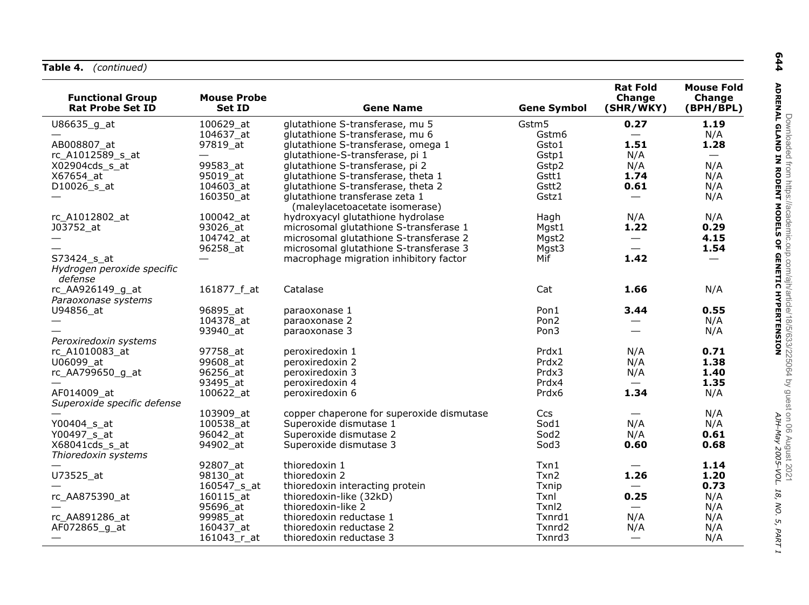| Table 4. (continued)                                 |                                     |                                                                  |                    |                                        |                                          |
|------------------------------------------------------|-------------------------------------|------------------------------------------------------------------|--------------------|----------------------------------------|------------------------------------------|
| <b>Functional Group</b><br><b>Rat Probe Set ID</b>   | <b>Mouse Probe</b><br><b>Set ID</b> | <b>Gene Name</b>                                                 | <b>Gene Symbol</b> | <b>Rat Fold</b><br>Change<br>(SHR/WKY) | <b>Mouse Fold</b><br>Change<br>(BPH/BPL) |
| U86635_g_at                                          | 100629_at                           | glutathione S-transferase, mu 5                                  | Gstm5              | 0.27                                   | 1.19                                     |
|                                                      | 104637 at                           | glutathione S-transferase, mu 6                                  | Gstm6              | $\overline{\phantom{0}}$               | N/A                                      |
| AB008807 at                                          | 97819_at                            | glutathione S-transferase, omega 1                               | Gsto1              | 1.51                                   | 1.28                                     |
| rc_A1012589_s_at                                     |                                     | glutathione-S-transferase, pi 1                                  | Gstp1              | N/A                                    |                                          |
| X02904cds s at                                       | 99583 at                            | glutathione S-transferase, pi 2                                  | Gstp2              | N/A                                    | N/A                                      |
| X67654 at                                            | 95019_at                            | glutathione S-transferase, theta 1                               | Gstt1              | 1.74                                   | N/A                                      |
| D10026 s at                                          | 104603 at                           | glutathione S-transferase, theta 2                               | Gstt2              | 0.61                                   | N/A                                      |
|                                                      | 160350_at                           | glutathione transferase zeta 1<br>(maleylacetoacetate isomerase) | Gstz1              | —                                      | N/A                                      |
| rc A1012802 at                                       | 100042_at                           | hydroxyacyl glutathione hydrolase                                | Hagh               | N/A                                    | N/A                                      |
| J03752_at                                            | 93026 at                            | microsomal glutathione S-transferase 1                           | Mgst1              | 1.22                                   | 0.29                                     |
|                                                      | 104742 at                           | microsomal glutathione S-transferase 2                           | Mgst2              | $\overbrace{\phantom{123331}}$         | 4.15                                     |
|                                                      | 96258_at                            | microsomal glutathione S-transferase 3                           | Mgst3              | $\hspace{0.05cm}$                      | 1.54                                     |
| S73424_s_at<br>Hydrogen peroxide specific<br>defense |                                     | macrophage migration inhibitory factor                           | Mif                | 1.42                                   | $\overline{\phantom{0}}$                 |
| rc_AA926149_g_at<br>Paraoxonase systems              | 161877_f_at                         | Catalase                                                         | Cat                | 1.66                                   | N/A                                      |
| U94856 at                                            | 96895 at                            | paraoxonase 1                                                    | Pon1               | 3.44                                   | 0.55                                     |
|                                                      | 104378 at                           | paraoxonase 2                                                    | Pon <sub>2</sub>   |                                        | N/A                                      |
|                                                      | 93940_at                            | paraoxonase 3                                                    | Pon3               |                                        | N/A                                      |
| Peroxiredoxin systems                                |                                     |                                                                  |                    |                                        |                                          |
| rc A1010083 at                                       | 97758 at                            | peroxiredoxin 1                                                  | Prdx1              | N/A                                    | 0.71                                     |
| U06099 at                                            | 99608_at                            | peroxiredoxin 2                                                  | Prdx2              | N/A                                    | 1.38                                     |
| rc_AA799650_g_at                                     | 96256_at                            | peroxiredoxin 3                                                  | Prdx3              | N/A                                    | 1.40                                     |
|                                                      | 93495 at                            | peroxiredoxin 4                                                  | Prdx4              | $\equiv$                               | 1.35                                     |
| AF014009 at                                          | 100622_at                           | peroxiredoxin 6                                                  | Prdx6              | 1.34                                   | N/A                                      |
| Superoxide specific defense                          |                                     |                                                                  |                    |                                        |                                          |
|                                                      | 103909_at                           | copper chaperone for superoxide dismutase                        | Ccs                |                                        | N/A                                      |
| Y00404_s_at                                          | 100538_at                           | Superoxide dismutase 1                                           | Sod1               | N/A                                    | N/A                                      |
| Y00497_s_at                                          | 96042 at                            | Superoxide dismutase 2                                           | Sod <sub>2</sub>   | N/A                                    | 0.61                                     |
| X68041cds_s_at                                       | 94902_at                            | Superoxide dismutase 3                                           | Sod3               | 0.60                                   | 0.68                                     |
| Thioredoxin systems                                  |                                     |                                                                  |                    |                                        |                                          |
|                                                      | 92807 at                            | thioredoxin 1                                                    | Txn1               |                                        | 1.14                                     |
| U73525_at                                            | 98130 at                            | thioredoxin 2                                                    | Txn2               | 1.26                                   | 1.20                                     |
|                                                      | 160547_s_at                         | thioredoxin interacting protein                                  | Txnip              | $\overline{\phantom{0}}$               | 0.73                                     |
| rc_AA875390_at                                       | $160115$ _at                        | thioredoxin-like (32kD)                                          | Txnl               | 0.25                                   | N/A                                      |
|                                                      | 95696_at                            | thioredoxin-like 2                                               | Txnl2              |                                        | N/A                                      |
| rc AA891286 at                                       | 99985 at                            | thioredoxin reductase 1                                          | Txnrd1             | N/A                                    | N/A                                      |
| AF072865_g_at                                        | 160437_at                           | thioredoxin reductase 2                                          | Txnrd2             | N/A                                    | N/A                                      |
|                                                      | 161043_r_at                         | thioredoxin reductase 3                                          | Txnrd3             | $\qquad \qquad \longleftarrow$         | N/A                                      |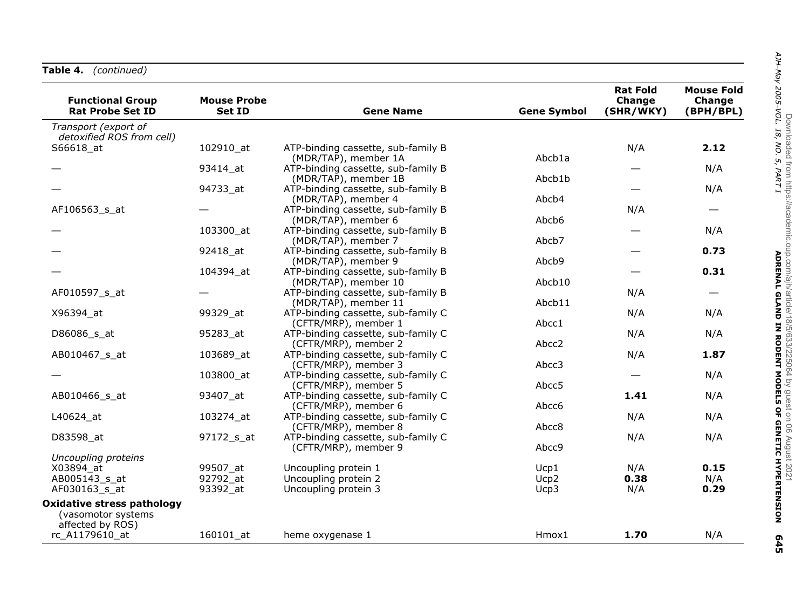| <b>Functional Group</b><br><b>Rat Probe Set ID</b>                           | <b>Mouse Probe</b><br><b>Set ID</b> | <b>Gene Name</b>                                           | <b>Gene Symbol</b> | <b>Rat Fold</b><br>Change<br>(SHR/WKY) | <b>Mouse Fold</b><br>Change<br>(BPH/BPL) |
|------------------------------------------------------------------------------|-------------------------------------|------------------------------------------------------------|--------------------|----------------------------------------|------------------------------------------|
| Transport (export of                                                         |                                     |                                                            |                    |                                        |                                          |
| detoxified ROS from cell)                                                    |                                     |                                                            |                    |                                        |                                          |
| S66618_at                                                                    | 102910_at                           | ATP-binding cassette, sub-family B                         |                    | N/A                                    | 2.12                                     |
|                                                                              |                                     | (MDR/TAP), member 1A                                       | Abcb1a             |                                        |                                          |
|                                                                              | 93414_at                            | ATP-binding cassette, sub-family B                         |                    |                                        | N/A                                      |
|                                                                              |                                     | (MDR/TAP), member 1B                                       | Abcb1b             |                                        |                                          |
|                                                                              | 94733_at                            | ATP-binding cassette, sub-family B                         |                    |                                        | N/A                                      |
| AF106563_s_at                                                                |                                     | (MDR/TAP), member 4<br>ATP-binding cassette, sub-family B  | Abcb4              | N/A                                    |                                          |
|                                                                              |                                     | (MDR/TAP), member 6                                        | Abcb6              |                                        |                                          |
|                                                                              | 103300_at                           | ATP-binding cassette, sub-family B                         |                    |                                        | N/A                                      |
|                                                                              |                                     | (MDR/TAP), member 7                                        | Abcb7              |                                        |                                          |
|                                                                              | 92418_at                            | ATP-binding cassette, sub-family B                         |                    |                                        | 0.73                                     |
|                                                                              |                                     | (MDR/TAP), member 9                                        | Abcb9              |                                        |                                          |
|                                                                              | 104394 at                           | ATP-binding cassette, sub-family B                         |                    |                                        | 0.31                                     |
|                                                                              |                                     | (MDR/TAP), member 10                                       | Abcb10             |                                        |                                          |
| AF010597_s_at                                                                |                                     | ATP-binding cassette, sub-family B                         |                    | N/A                                    | $\overline{\phantom{0}}$                 |
|                                                                              |                                     | (MDR/TAP), member 11                                       | Abcb11             |                                        |                                          |
| X96394_at                                                                    | 99329_at                            | ATP-binding cassette, sub-family C                         |                    | N/A                                    | N/A                                      |
|                                                                              |                                     | (CFTR/MRP), member 1                                       | Abcc1              |                                        |                                          |
| D86086_s_at                                                                  | 95283_at                            | ATP-binding cassette, sub-family C                         |                    | N/A                                    | N/A                                      |
|                                                                              |                                     | (CFTR/MRP), member 2                                       | Abcc2              |                                        |                                          |
| AB010467_s_at                                                                | 103689_at                           | ATP-binding cassette, sub-family C                         |                    | N/A                                    | 1.87                                     |
|                                                                              | 103800_at                           | (CFTR/MRP), member 3<br>ATP-binding cassette, sub-family C | Abcc3              |                                        | N/A                                      |
|                                                                              |                                     | (CFTR/MRP), member 5                                       | Abcc <sub>5</sub>  |                                        |                                          |
| AB010466_s_at                                                                | 93407_at                            | ATP-binding cassette, sub-family C                         |                    | 1.41                                   | N/A                                      |
|                                                                              |                                     | (CFTR/MRP), member 6                                       | Abcc6              |                                        |                                          |
| L40624_at                                                                    | 103274_at                           | ATP-binding cassette, sub-family C                         |                    | N/A                                    | N/A                                      |
|                                                                              |                                     | (CFTR/MRP), member 8                                       | Abcc8              |                                        |                                          |
| D83598_at                                                                    | 97172_s_at                          | ATP-binding cassette, sub-family C                         |                    | N/A                                    | N/A                                      |
|                                                                              |                                     | (CFTR/MRP), member 9                                       | Abcc9              |                                        |                                          |
| Uncoupling proteins                                                          |                                     |                                                            |                    |                                        |                                          |
| X03894 at                                                                    | 99507 at                            | Uncoupling protein 1                                       | Ucp1               | N/A                                    | 0.15                                     |
| AB005143_s_at                                                                | 92792_at                            | Uncoupling protein 2                                       | Ucp2               | 0.38                                   | N/A                                      |
| AF030163_s_at                                                                | 93392_at                            | Uncoupling protein 3                                       | Ucp3               | N/A                                    | 0.29                                     |
| <b>Oxidative stress pathology</b><br>(vasomotor systems)<br>affected by ROS) |                                     |                                                            |                    |                                        |                                          |
| rc_A1179610_at                                                               | $160101$ _at                        | heme oxygenase 1                                           | Hmox1              | 1.70                                   | N/A                                      |
|                                                                              |                                     |                                                            |                    |                                        |                                          |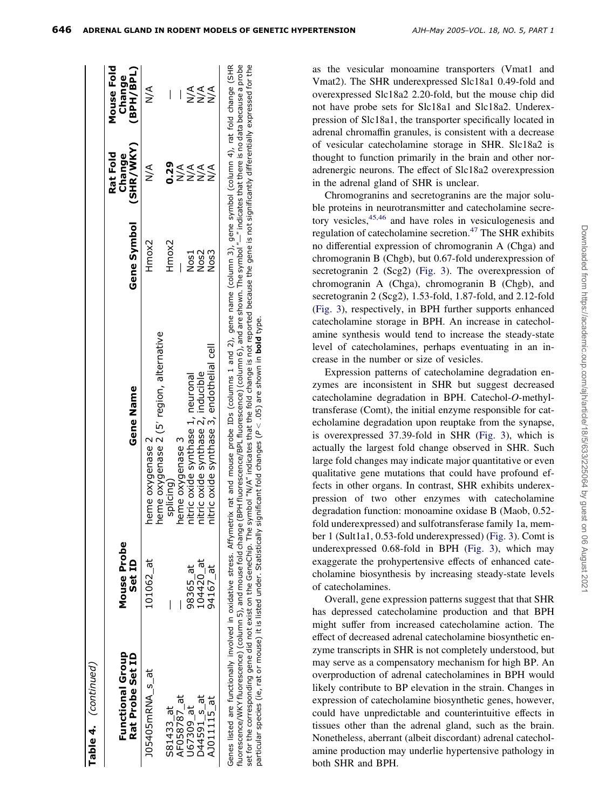|                                      |                              |                                                       |             | Rat Fold            | Mouse Fold          |
|--------------------------------------|------------------------------|-------------------------------------------------------|-------------|---------------------|---------------------|
| Functional Group<br>Rat Probe Set ID | <b>Mouse Probe</b><br>Set ID | Gene Name                                             | Gene Symbol | (SHR/WKY)<br>Change | (BPH/BPL)<br>Change |
| $J05405$ mRNA $\_s\_at$              | $101062$ _at                 | heme oxygenase 2                                      | Hmox2       | $\frac{1}{2}$       | $\frac{1}{2}$       |
| S81433 at                            |                              | heme oxygenase 2 (5' region, alternative<br>splicing) | Hmox2       | 0.29                | I                   |
| AF058787_at                          |                              | heme oxygenase 3                                      |             |                     |                     |
| U67309 at                            | 98365 at                     | nitric oxide synthase 1, neuronal                     | Nos1        | ⋖⋖⋖<br>≥≥≥          |                     |
| D44591 $s$ _at                       | 104420 at                    | nitric oxide synthase 2, inducible                    | Nos2        |                     | ⋖⋖⋖<br>≥≥≥          |
| $\lambda$ J011115_at                 | 94167 at                     | nitric oxide synthase 3, endothelial cell             | Nos3        | $\frac{1}{2}$       |                     |

for the corresponding gene did not exist on the GeneChip. The symbol "N/A" indicates that the fold change is not reported because the gene is not significantly differentially expressed for the Genes listed are functionally involved in oxidative stress. Affymetrix rat and mouse probe IDs (columns 1 and 2), gene name (column 3), gene symbol (column 4), rat fold change (SHR fluorescence/WKY fluorescence) (column 5), and mouse fold change (BPH fluorescence/BPL fluorescence) (column 6), and are shown. The symbol "—" indicates that there is no data because a probe data because a probe set for the corresponding gene did not exist on the GeneChip. The symbol "N/A" indicates that the fold change is not reported because the gene is not significantly differentially expressed for the IS NO Indicates that there fluorescence/WKY fluorescence) (column 5), and mouse fold change (BPH fluorescence/BPL fluorescence) (column 6), and are shown. The symbol type. particular species (ie, rat or mouse) it is listed under. Statistically significant fold changes (*P* .05) are shown in **bold** type. bold  $<$  .05) are shown in significant fold changes (P listed under. Statistically  $\overline{a}$ Ξ mouse)  $\overline{\sigma}$ rat set for the correspond<br>particular species (ie,

as the vesicular monoamine transporters (Vmat1 and Vmat2). The SHR underexpressed Slc18a1 0.49-fold and overexpressed Slc18a2 2.20-fold, but the mouse chip did not have probe sets for Slc18a1 and Slc18a2. Underexpression of Slc18a1, the transporter specifically located in adrenal chromaffin granules, is consistent with a decrease of vesicular catecholamine storage in SHR. Slc18a2 is thought to function primarily in the brain and other noradrenergic neurons. The effect of Slc18a2 overexpression in the adrenal gland of SHR is unclear.

Chromogranins and secretogranins are the major soluble proteins in neurotransmitter and catecholamine secretory vesicles,45,46 and have roles in vesiculogenesis and regulation of catecholamine secretion.<sup>47</sup> The SHR exhibits no differential expression of chromogranin A (Chga) and chromogranin B (Chgb), but 0.67-fold underexpression of secretogranin 2 (Scg2) (Fig. 3). The overexpression of chromogranin A (Chga), chromogranin B (Chgb), and secretogranin 2 (Scg2), 1.53-fold, 1.87-fold, and 2.12-fold (Fig. 3), respectively, in BPH further supports enhanced catecholamine storage in BPH. An increase in catecholamine synthesis would tend to increase the steady-state level of catecholamines, perhaps eventuating in an increase in the number or size of vesicles.

Expression patterns of catecholamine degradation enzymes are inconsistent in SHR but suggest decreased catecholamine degradation in BPH. Catechol-*O*-methyltransferase (Comt), the initial enzyme responsible for catecholamine degradation upon reuptake from the synapse, is overexpressed 37.39-fold in SHR (Fig. 3), which is actually the largest fold change observed in SHR. Such large fold changes may indicate major quantitative or even qualitative gene mutations that could have profound effects in other organs. In contrast, SHR exhibits underexpression of two other enzymes with catecholamine degradation function: monoamine oxidase B (Maob, 0.52 fold underexpressed) and sulfotransferase family 1a, member 1 (Sult1a1, 0.53-fold underexpressed) (Fig. 3). Comt is underexpressed 0.68-fold in BPH (Fig. 3), which may exaggerate the prohypertensive effects of enhanced catecholamine biosynthesis by increasing steady-state levels of catecholamines.

Overall, gene expression patterns suggest that that SHR has depressed catecholamine production and that BPH might suffer from increased catecholamine action. The effect of decreased adrenal catecholamine biosynthetic enzyme transcripts in SHR is not completely understood, but may serve as a compensatory mechanism for high BP. An overproduction of adrenal catecholamines in BPH would likely contribute to BP elevation in the strain. Changes in expression of catecholamine biosynthetic genes, however, could have unpredictable and counterintuitive effects in tissues other than the adrenal gland, such as the brain. Nonetheless, aberrant (albeit discordant) adrenal catecholamine production may underlie hypertensive pathology in both SHR and BPH.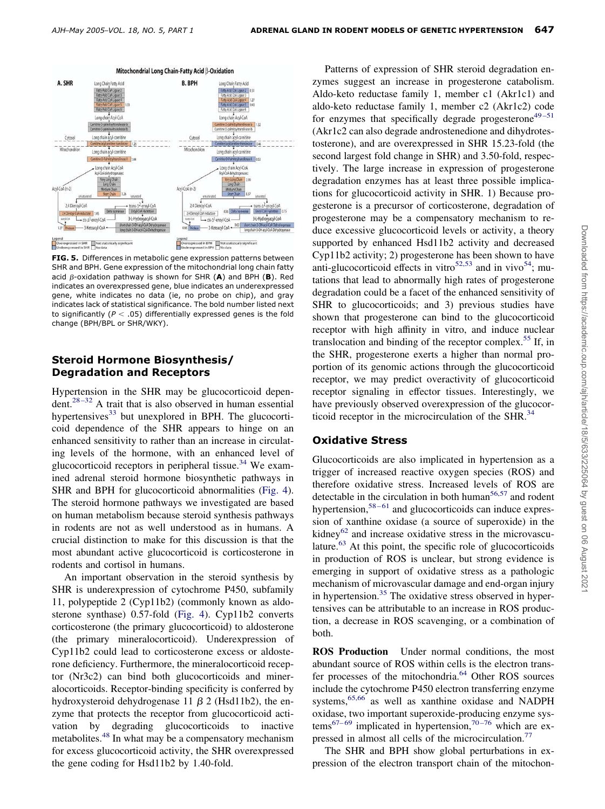

**FIG. 5.** Differences in metabolic gene expression patterns between SHR and BPH. Gene expression of the mitochondrial long chain fatty acid β-oxidation pathway is shown for SHR (A) and BPH (**B**). Red indicates an overexpressed gene, blue indicates an underexpressed gene, white indicates no data (ie, no probe on chip), and gray indicates lack of statistical significance. The bold number listed next to significantly (*P* .05) differentially expressed genes is the fold change (BPH/BPL or SHR/WKY).

#### **Steroid Hormone Biosynthesis/ Degradation and Receptors**

Hypertension in the SHR may be glucocorticoid dependent. $28-32$  A trait that is also observed in human essential hypertensives $33$  but unexplored in BPH. The glucocorticoid dependence of the SHR appears to hinge on an enhanced sensitivity to rather than an increase in circulating levels of the hormone, with an enhanced level of glucocorticoid receptors in peripheral tissue.<sup>34</sup> We examined adrenal steroid hormone biosynthetic pathways in SHR and BPH for glucocorticoid abnormalities (Fig. 4). The steroid hormone pathways we investigated are based on human metabolism because steroid synthesis pathways in rodents are not as well understood as in humans. A crucial distinction to make for this discussion is that the most abundant active glucocorticoid is corticosterone in rodents and cortisol in humans.

An important observation in the steroid synthesis by SHR is underexpression of cytochrome P450, subfamily 11, polypeptide 2 (Cyp11b2) (commonly known as aldosterone synthase) 0.57-fold (Fig. 4). Cyp11b2 converts corticosterone (the primary glucocorticoid) to aldosterone (the primary mineralocorticoid). Underexpression of Cyp11b2 could lead to corticosterone excess or aldosterone deficiency. Furthermore, the mineralocorticoid receptor (Nr3c2) can bind both glucocorticoids and mineralocorticoids. Receptor-binding specificity is conferred by hydroxysteroid dehydrogenase 11  $\beta$  2 (Hsd11b2), the enzyme that protects the receptor from glucocorticoid activation by degrading glucocorticoids to inactive metabolites.<sup>48</sup> In what may be a compensatory mechanism for excess glucocorticoid activity, the SHR overexpressed the gene coding for Hsd11b2 by 1.40-fold.

Patterns of expression of SHR steroid degradation enzymes suggest an increase in progesterone catabolism. Aldo-keto reductase family 1, member c1 (Akr1c1) and aldo-keto reductase family 1, member c2 (Akr1c2) code for enzymes that specifically degrade progesterone<sup>49–51</sup> (Akr1c2 can also degrade androstenedione and dihydrotestosterone), and are overexpressed in SHR 15.23-fold (the second largest fold change in SHR) and 3.50-fold, respectively. The large increase in expression of progesterone degradation enzymes has at least three possible implications for glucocorticoid activity in SHR. 1) Because progesterone is a precursor of corticosterone, degradation of progesterone may be a compensatory mechanism to reduce excessive glucocorticoid levels or activity, a theory supported by enhanced Hsd11b2 activity and decreased Cyp11b2 activity; 2) progesterone has been shown to have anti-glucocorticoid effects in vitro<sup>52,53</sup> and in vivo<sup>54</sup>; mutations that lead to abnormally high rates of progesterone degradation could be a facet of the enhanced sensitivity of SHR to glucocorticoids; and 3) previous studies have shown that progesterone can bind to the glucocorticoid receptor with high affinity in vitro, and induce nuclear translocation and binding of the receptor complex.<sup>55</sup> If, in the SHR, progesterone exerts a higher than normal proportion of its genomic actions through the glucocorticoid receptor, we may predict overactivity of glucocorticoid receptor signaling in effector tissues. Interestingly, we have previously observed overexpression of the glucocorticoid receptor in the microcirculation of the SHR.<sup>34</sup>

#### **Oxidative Stress**

Glucocorticoids are also implicated in hypertension as a trigger of increased reactive oxygen species (ROS) and therefore oxidative stress. Increased levels of ROS are detectable in the circulation in both human<sup>56,57</sup> and rodent hypertension,  $58-61$  and glucocorticoids can induce expression of xanthine oxidase (a source of superoxide) in the kidney<sup>62</sup> and increase oxidative stress in the microvasculature.<sup>63</sup> At this point, the specific role of glucocorticoids in production of ROS is unclear, but strong evidence is emerging in support of oxidative stress as a pathologic mechanism of microvascular damage and end-organ injury in hypertension.<sup>35</sup> The oxidative stress observed in hypertensives can be attributable to an increase in ROS production, a decrease in ROS scavenging, or a combination of both.

**ROS Production** Under normal conditions, the most abundant source of ROS within cells is the electron transfer processes of the mitochondria.<sup>64</sup> Other ROS sources include the cytochrome P450 electron transferring enzyme systems,<sup>65,66</sup> as well as xanthine oxidase and NADPH oxidase, two important superoxide-producing enzyme systems<sup>67–69</sup> implicated in hypertension,<sup>70–76</sup> which are expressed in almost all cells of the microcirculation.<sup>77</sup>

The SHR and BPH show global perturbations in expression of the electron transport chain of the mitochon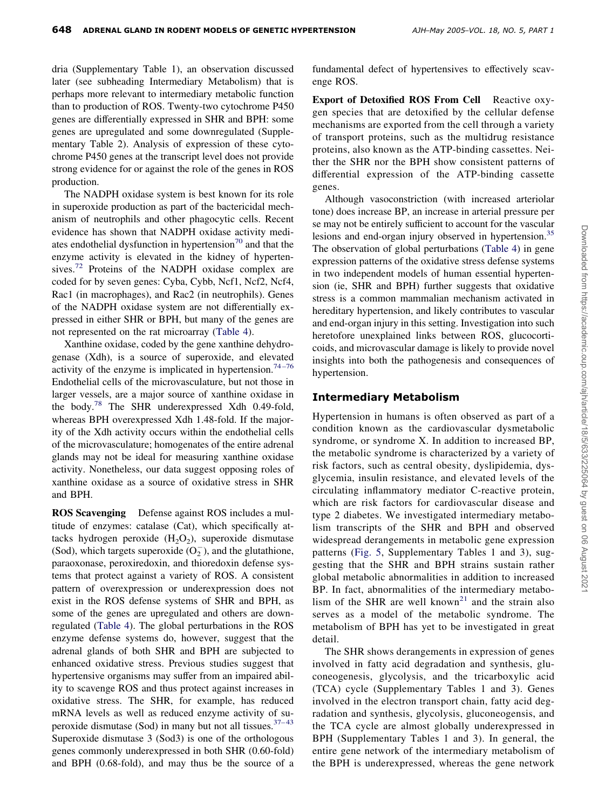dria (Supplementary Table 1), an observation discussed later (see subheading Intermediary Metabolism) that is perhaps more relevant to intermediary metabolic function than to production of ROS. Twenty-two cytochrome P450 genes are differentially expressed in SHR and BPH: some genes are upregulated and some downregulated (Supplementary Table 2). Analysis of expression of these cytochrome P450 genes at the transcript level does not provide strong evidence for or against the role of the genes in ROS production.

The NADPH oxidase system is best known for its role in superoxide production as part of the bactericidal mechanism of neutrophils and other phagocytic cells. Recent evidence has shown that NADPH oxidase activity mediates endothelial dysfunction in hypertension<sup>70</sup> and that the enzyme activity is elevated in the kidney of hypertensives.<sup>72</sup> Proteins of the NADPH oxidase complex are coded for by seven genes: Cyba, Cybb, Ncf1, Ncf2, Ncf4, Rac1 (in macrophages), and Rac2 (in neutrophils). Genes of the NADPH oxidase system are not differentially expressed in either SHR or BPH, but many of the genes are not represented on the rat microarray (Table 4).

Xanthine oxidase, coded by the gene xanthine dehydrogenase (Xdh), is a source of superoxide, and elevated activity of the enzyme is implicated in hypertension.<sup>74-76</sup> Endothelial cells of the microvasculature, but not those in larger vessels, are a major source of xanthine oxidase in the body.<sup>78</sup> The SHR underexpressed Xdh 0.49-fold, whereas BPH overexpressed Xdh 1.48-fold. If the majority of the Xdh activity occurs within the endothelial cells of the microvasculature; homogenates of the entire adrenal glands may not be ideal for measuring xanthine oxidase activity. Nonetheless, our data suggest opposing roles of xanthine oxidase as a source of oxidative stress in SHR and BPH.

**ROS Scavenging** Defense against ROS includes a multitude of enzymes: catalase (Cat), which specifically attacks hydrogen peroxide  $(H_2O_2)$ , superoxide dismutase (Sod), which targets superoxide  $(O_2^-)$ , and the glutathione, paraoxonase, peroxiredoxin, and thioredoxin defense systems that protect against a variety of ROS. A consistent pattern of overexpression or underexpression does not exist in the ROS defense systems of SHR and BPH, as some of the genes are upregulated and others are downregulated (Table 4). The global perturbations in the ROS enzyme defense systems do, however, suggest that the adrenal glands of both SHR and BPH are subjected to enhanced oxidative stress. Previous studies suggest that hypertensive organisms may suffer from an impaired ability to scavenge ROS and thus protect against increases in oxidative stress. The SHR, for example, has reduced mRNA levels as well as reduced enzyme activity of superoxide dismutase (Sod) in many but not all tissues. $37-43$ Superoxide dismutase 3 (Sod3) is one of the orthologous genes commonly underexpressed in both SHR (0.60-fold) and BPH (0.68-fold), and may thus be the source of a fundamental defect of hypertensives to effectively scavenge ROS.

**Export of Detoxified ROS From Cell** Reactive oxygen species that are detoxified by the cellular defense mechanisms are exported from the cell through a variety of transport proteins, such as the multidrug resistance proteins, also known as the ATP-binding cassettes. Neither the SHR nor the BPH show consistent patterns of differential expression of the ATP-binding cassette genes.

Although vasoconstriction (with increased arteriolar tone) does increase BP, an increase in arterial pressure per se may not be entirely sufficient to account for the vascular lesions and end-organ injury observed in hypertension.<sup>35</sup> The observation of global perturbations (Table 4) in gene expression patterns of the oxidative stress defense systems in two independent models of human essential hypertension (ie, SHR and BPH) further suggests that oxidative stress is a common mammalian mechanism activated in hereditary hypertension, and likely contributes to vascular and end-organ injury in this setting. Investigation into such heretofore unexplained links between ROS, glucocorticoids, and microvascular damage is likely to provide novel insights into both the pathogenesis and consequences of hypertension.

#### **Intermediary Metabolism**

Hypertension in humans is often observed as part of a condition known as the cardiovascular dysmetabolic syndrome, or syndrome X. In addition to increased BP, the metabolic syndrome is characterized by a variety of risk factors, such as central obesity, dyslipidemia, dysglycemia, insulin resistance, and elevated levels of the circulating inflammatory mediator C-reactive protein, which are risk factors for cardiovascular disease and type 2 diabetes. We investigated intermediary metabolism transcripts of the SHR and BPH and observed widespread derangements in metabolic gene expression patterns (Fig. 5, Supplementary Tables 1 and 3), suggesting that the SHR and BPH strains sustain rather global metabolic abnormalities in addition to increased BP. In fact, abnormalities of the intermediary metabolism of the SHR are well known<sup>21</sup> and the strain also serves as a model of the metabolic syndrome. The metabolism of BPH has yet to be investigated in great detail.

The SHR shows derangements in expression of genes involved in fatty acid degradation and synthesis, gluconeogenesis, glycolysis, and the tricarboxylic acid (TCA) cycle (Supplementary Tables 1 and 3). Genes involved in the electron transport chain, fatty acid degradation and synthesis, glycolysis, gluconeogensis, and the TCA cycle are almost globally underexpressed in BPH (Supplementary Tables 1 and 3). In general, the entire gene network of the intermediary metabolism of the BPH is underexpressed, whereas the gene network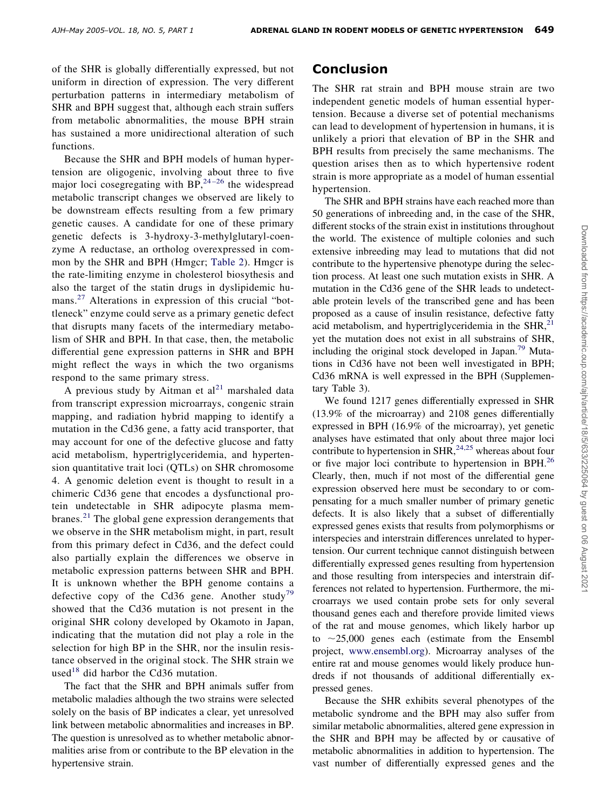of the SHR is globally differentially expressed, but not uniform in direction of expression. The very different perturbation patterns in intermediary metabolism of SHR and BPH suggest that, although each strain suffers from metabolic abnormalities, the mouse BPH strain has sustained a more unidirectional alteration of such functions.

Because the SHR and BPH models of human hypertension are oligogenic, involving about three to five major loci cosegregating with  $BP$ ,  $^{24-26}$  the widespread metabolic transcript changes we observed are likely to be downstream effects resulting from a few primary genetic causes. A candidate for one of these primary genetic defects is 3-hydroxy-3-methylglutaryl-coenzyme A reductase, an ortholog overexpressed in common by the SHR and BPH (Hmgcr; Table 2). Hmgcr is the rate-limiting enzyme in cholesterol biosythesis and also the target of the statin drugs in dyslipidemic humans.<sup>27</sup> Alterations in expression of this crucial "bottleneck" enzyme could serve as a primary genetic defect that disrupts many facets of the intermediary metabolism of SHR and BPH. In that case, then, the metabolic differential gene expression patterns in SHR and BPH might reflect the ways in which the two organisms respond to the same primary stress.

A previous study by Aitman et  $al<sup>21</sup>$  marshaled data from transcript expression microarrays, congenic strain mapping, and radiation hybrid mapping to identify a mutation in the Cd36 gene, a fatty acid transporter, that may account for one of the defective glucose and fatty acid metabolism, hypertriglyceridemia, and hypertension quantitative trait loci (QTLs) on SHR chromosome 4. A genomic deletion event is thought to result in a chimeric Cd36 gene that encodes a dysfunctional protein undetectable in SHR adipocyte plasma membranes.<sup>21</sup> The global gene expression derangements that we observe in the SHR metabolism might, in part, result from this primary defect in Cd36, and the defect could also partially explain the differences we observe in metabolic expression patterns between SHR and BPH. It is unknown whether the BPH genome contains a defective copy of the Cd36 gene. Another study<sup>79</sup> showed that the Cd36 mutation is not present in the original SHR colony developed by Okamoto in Japan, indicating that the mutation did not play a role in the selection for high BP in the SHR, nor the insulin resistance observed in the original stock. The SHR strain we used<sup>18</sup> did harbor the Cd36 mutation.

The fact that the SHR and BPH animals suffer from metabolic maladies although the two strains were selected solely on the basis of BP indicates a clear, yet unresolved link between metabolic abnormalities and increases in BP. The question is unresolved as to whether metabolic abnormalities arise from or contribute to the BP elevation in the hypertensive strain.

# **Conclusion**

The SHR rat strain and BPH mouse strain are two independent genetic models of human essential hypertension. Because a diverse set of potential mechanisms can lead to development of hypertension in humans, it is unlikely a priori that elevation of BP in the SHR and BPH results from precisely the same mechanisms. The question arises then as to which hypertensive rodent strain is more appropriate as a model of human essential hypertension.

The SHR and BPH strains have each reached more than 50 generations of inbreeding and, in the case of the SHR, different stocks of the strain exist in institutions throughout the world. The existence of multiple colonies and such extensive inbreeding may lead to mutations that did not contribute to the hypertensive phenotype during the selection process. At least one such mutation exists in SHR. A mutation in the Cd36 gene of the SHR leads to undetectable protein levels of the transcribed gene and has been proposed as a cause of insulin resistance, defective fatty acid metabolism, and hypertriglyceridemia in the  $SHR$ ,<sup>21</sup> yet the mutation does not exist in all substrains of SHR, including the original stock developed in Japan.<sup>79</sup> Mutations in Cd36 have not been well investigated in BPH; Cd36 mRNA is well expressed in the BPH (Supplementary Table 3).

We found 1217 genes differentially expressed in SHR (13.9% of the microarray) and 2108 genes differentially expressed in BPH (16.9% of the microarray), yet genetic analyses have estimated that only about three major loci contribute to hypertension in SHR,  $^{24,25}$  whereas about four or five major loci contribute to hypertension in BPH.<sup>26</sup> Clearly, then, much if not most of the differential gene expression observed here must be secondary to or compensating for a much smaller number of primary genetic defects. It is also likely that a subset of differentially expressed genes exists that results from polymorphisms or interspecies and interstrain differences unrelated to hypertension. Our current technique cannot distinguish between differentially expressed genes resulting from hypertension and those resulting from interspecies and interstrain differences not related to hypertension. Furthermore, the microarrays we used contain probe sets for only several thousand genes each and therefore provide limited views of the rat and mouse genomes, which likely harbor up to  $\sim$ 25,000 genes each (estimate from the Ensembl project, www.ensembl.org). Microarray analyses of the entire rat and mouse genomes would likely produce hundreds if not thousands of additional differentially expressed genes.

Because the SHR exhibits several phenotypes of the metabolic syndrome and the BPH may also suffer from similar metabolic abnormalities, altered gene expression in the SHR and BPH may be affected by or causative of metabolic abnormalities in addition to hypertension. The vast number of differentially expressed genes and the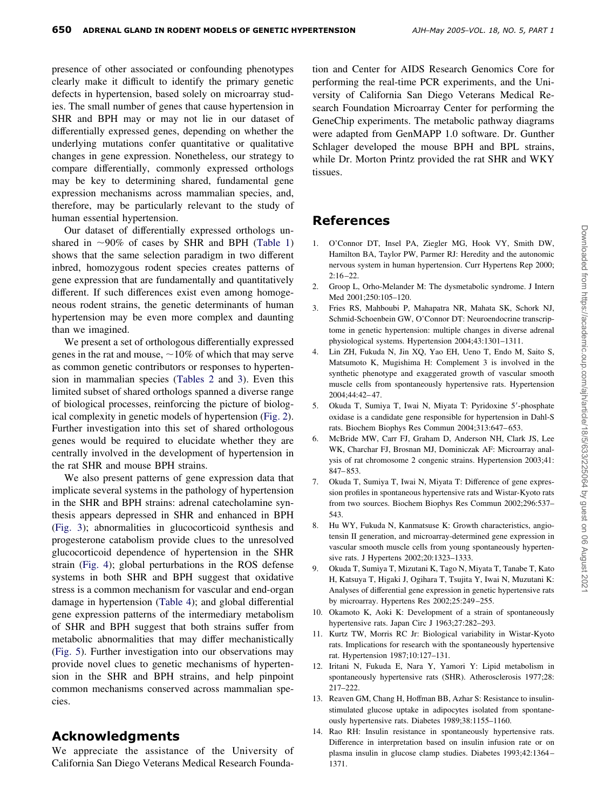presence of other associated or confounding phenotypes clearly make it difficult to identify the primary genetic defects in hypertension, based solely on microarray studies. The small number of genes that cause hypertension in SHR and BPH may or may not lie in our dataset of differentially expressed genes, depending on whether the underlying mutations confer quantitative or qualitative changes in gene expression. Nonetheless, our strategy to compare differentially, commonly expressed orthologs may be key to determining shared, fundamental gene expression mechanisms across mammalian species, and, therefore, may be particularly relevant to the study of human essential hypertension.

Our dataset of differentially expressed orthologs unshared in  $\sim$ 90% of cases by SHR and BPH (Table 1) shows that the same selection paradigm in two different inbred, homozygous rodent species creates patterns of gene expression that are fundamentally and quantitatively different. If such differences exist even among homogeneous rodent strains, the genetic determinants of human hypertension may be even more complex and daunting than we imagined.

We present a set of orthologous differentially expressed genes in the rat and mouse,  $\sim$  10% of which that may serve as common genetic contributors or responses to hypertension in mammalian species (Tables 2 and 3). Even this limited subset of shared orthologs spanned a diverse range of biological processes, reinforcing the picture of biological complexity in genetic models of hypertension (Fig. 2). Further investigation into this set of shared orthologous genes would be required to elucidate whether they are centrally involved in the development of hypertension in the rat SHR and mouse BPH strains.

We also present patterns of gene expression data that implicate several systems in the pathology of hypertension in the SHR and BPH strains: adrenal catecholamine synthesis appears depressed in SHR and enhanced in BPH (Fig. 3); abnormalities in glucocorticoid synthesis and progesterone catabolism provide clues to the unresolved glucocorticoid dependence of hypertension in the SHR strain (Fig. 4); global perturbations in the ROS defense systems in both SHR and BPH suggest that oxidative stress is a common mechanism for vascular and end-organ damage in hypertension (Table 4); and global differential gene expression patterns of the intermediary metabolism of SHR and BPH suggest that both strains suffer from metabolic abnormalities that may differ mechanistically (Fig. 5). Further investigation into our observations may provide novel clues to genetic mechanisms of hypertension in the SHR and BPH strains, and help pinpoint common mechanisms conserved across mammalian species.

# **Acknowledgments**

We appreciate the assistance of the University of California San Diego Veterans Medical Research Foundation and Center for AIDS Research Genomics Core for performing the real-time PCR experiments, and the University of California San Diego Veterans Medical Research Foundation Microarray Center for performing the GeneChip experiments. The metabolic pathway diagrams were adapted from GenMAPP 1.0 software. Dr. Gunther Schlager developed the mouse BPH and BPL strains, while Dr. Morton Printz provided the rat SHR and WKY tissues.

# **References**

- 1. O'Connor DT, Insel PA, Ziegler MG, Hook VY, Smith DW, Hamilton BA, Taylor PW, Parmer RJ: Heredity and the autonomic nervous system in human hypertension. Curr Hypertens Rep 2000;  $2:16 - 22.$
- 2. Groop L, Orho-Melander M: The dysmetabolic syndrome. J Intern Med 2001;250:105–120.
- 3. Fries RS, Mahboubi P, Mahapatra NR, Mahata SK, Schork NJ, Schmid-Schoenbein GW, O'Connor DT: Neuroendocrine transcriptome in genetic hypertension: multiple changes in diverse adrenal physiological systems. Hypertension 2004;43:1301–1311.
- 4. Lin ZH, Fukuda N, Jin XQ, Yao EH, Ueno T, Endo M, Saito S, Matsumoto K, Mugishima H: Complement 3 is involved in the synthetic phenotype and exaggerated growth of vascular smooth muscle cells from spontaneously hypertensive rats. Hypertension 2004;44:42– 47.
- 5. Okuda T, Sumiya T, Iwai N, Miyata T: Pyridoxine 5'-phosphate oxidase is a candidate gene responsible for hypertension in Dahl-S rats. Biochem Biophys Res Commun 2004;313:647– 653.
- 6. McBride MW, Carr FJ, Graham D, Anderson NH, Clark JS, Lee WK, Charchar FJ, Brosnan MJ, Dominiczak AF: Microarray analysis of rat chromosome 2 congenic strains. Hypertension 2003;41: 847– 853.
- 7. Okuda T, Sumiya T, Iwai N, Miyata T: Difference of gene expression profiles in spontaneous hypertensive rats and Wistar-Kyoto rats from two sources. Biochem Biophys Res Commun 2002;296:537– 543.
- 8. Hu WY, Fukuda N, Kanmatsuse K: Growth characteristics, angiotensin II generation, and microarray-determined gene expression in vascular smooth muscle cells from young spontaneously hypertensive rats. J Hypertens 2002;20:1323–1333.
- 9. Okuda T, Sumiya T, Mizutani K, Tago N, Miyata T, Tanabe T, Kato H, Katsuya T, Higaki J, Ogihara T, Tsujita Y, Iwai N, Muzutani K: Analyses of differential gene expression in genetic hypertensive rats by microarray. Hypertens Res 2002;25:249 –255.
- 10. Okamoto K, Aoki K: Development of a strain of spontaneously hypertensive rats. Japan Circ J 1963;27:282–293.
- 11. Kurtz TW, Morris RC Jr: Biological variability in Wistar-Kyoto rats. Implications for research with the spontaneously hypertensive rat. Hypertension 1987;10:127–131.
- 12. Iritani N, Fukuda E, Nara Y, Yamori Y: Lipid metabolism in spontaneously hypertensive rats (SHR). Atherosclerosis 1977;28: 217–222.
- 13. Reaven GM, Chang H, Hoffman BB, Azhar S: Resistance to insulinstimulated glucose uptake in adipocytes isolated from spontaneously hypertensive rats. Diabetes 1989;38:1155–1160.
- 14. Rao RH: Insulin resistance in spontaneously hypertensive rats. Difference in interpretation based on insulin infusion rate or on plasma insulin in glucose clamp studies. Diabetes 1993;42:1364 – 1371.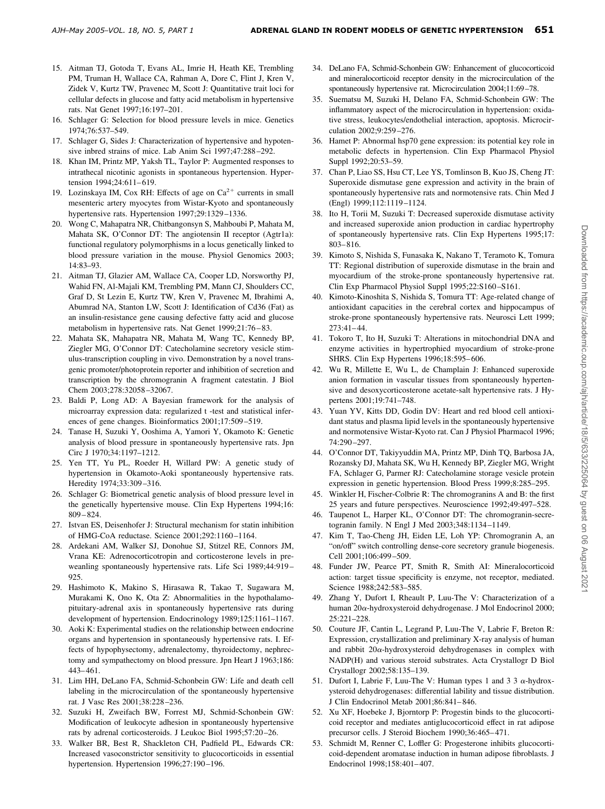- 15. Aitman TJ, Gotoda T, Evans AL, Imrie H, Heath KE, Trembling PM, Truman H, Wallace CA, Rahman A, Dore C, Flint J, Kren V, Zidek V, Kurtz TW, Pravenec M, Scott J: Quantitative trait loci for cellular defects in glucose and fatty acid metabolism in hypertensive rats. Nat Genet 1997;16:197–201.
- 16. Schlager G: Selection for blood pressure levels in mice. Genetics 1974;76:537–549.
- 17. Schlager G, Sides J: Characterization of hypertensive and hypotensive inbred strains of mice. Lab Anim Sci 1997;47:288 –292.
- 18. Khan IM, Printz MP, Yaksh TL, Taylor P: Augmented responses to intrathecal nicotinic agonists in spontaneous hypertension. Hypertension 1994;24:611-619.
- 19. Lozinskaya IM, Cox RH: Effects of age on  $Ca^{2+}$  currents in small mesenteric artery myocytes from Wistar-Kyoto and spontaneously hypertensive rats. Hypertension 1997;29:1329-1336.
- 20. Wong C, Mahapatra NR, Chitbangonsyn S, Mahboubi P, Mahata M, Mahata SK, O'Connor DT: The angiotensin II receptor (Agtr1a): functional regulatory polymorphisms in a locus genetically linked to blood pressure variation in the mouse. Physiol Genomics 2003; 14:83–93.
- 21. Aitman TJ, Glazier AM, Wallace CA, Cooper LD, Norsworthy PJ, Wahid FN, Al-Majali KM, Trembling PM, Mann CJ, Shoulders CC, Graf D, St Lezin E, Kurtz TW, Kren V, Pravenec M, Ibrahimi A, Abumrad NA, Stanton LW, Scott J: Identification of Cd36 (Fat) as an insulin-resistance gene causing defective fatty acid and glucose metabolism in hypertensive rats. Nat Genet 1999;21:76 – 83.
- 22. Mahata SK, Mahapatra NR, Mahata M, Wang TC, Kennedy BP, Ziegler MG, O'Connor DT: Catecholamine secretory vesicle stimulus-transcription coupling in vivo. Demonstration by a novel transgenic promoter/photoprotein reporter and inhibition of secretion and transcription by the chromogranin A fragment catestatin. J Biol Chem 2003;278:32058 –32067.
- 23. Baldi P, Long AD: A Bayesian framework for the analysis of microarray expression data: regularized t -test and statistical inferences of gene changes. Bioinformatics 2001;17:509 –519.
- 24. Tanase H, Suzuki Y, Ooshima A, Yamori Y, Okamoto K: Genetic analysis of blood pressure in spontaneously hypertensive rats. Jpn Circ J 1970;34:1197–1212.
- 25. Yen TT, Yu PL, Roeder H, Willard PW: A genetic study of hypertension in Okamoto-Aoki spontaneously hypertensive rats. Heredity 1974;33:309 –316.
- 26. Schlager G: Biometrical genetic analysis of blood pressure level in the genetically hypertensive mouse. Clin Exp Hypertens 1994;16: 809 – 824.
- 27. Istvan ES, Deisenhofer J: Structural mechanism for statin inhibition of HMG-CoA reductase. Science 2001;292:1160 –1164.
- 28. Ardekani AM, Walker SJ, Donohue SJ, Stitzel RE, Connors JM, Vrana KE: Adrenocorticotropin and corticosterone levels in preweanling spontaneously hypertensive rats. Life Sci 1989;44:919 – 925.
- 29. Hashimoto K, Makino S, Hirasawa R, Takao T, Sugawara M, Murakami K, Ono K, Ota Z: Abnormalities in the hypothalamopituitary-adrenal axis in spontaneously hypertensive rats during development of hypertension. Endocrinology 1989;125:1161–1167.
- 30. Aoki K: Experimental studies on the relationship between endocrine organs and hypertension in spontaneously hypertensive rats. I. Effects of hypophysectomy, adrenalectomy, thyroidectomy, nephrectomy and sympathectomy on blood pressure. Jpn Heart J 1963;186: 443– 461.
- 31. Lim HH, DeLano FA, Schmid-Schonbein GW: Life and death cell labeling in the microcirculation of the spontaneously hypertensive rat. J Vasc Res 2001;38:228 –236.
- 32. Suzuki H, Zweifach BW, Forrest MJ, Schmid-Schonbein GW: Modification of leukocyte adhesion in spontaneously hypertensive rats by adrenal corticosteroids. J Leukoc Biol 1995;57:20 –26.
- 33. Walker BR, Best R, Shackleton CH, Padfield PL, Edwards CR: Increased vasoconstrictor sensitivity to glucocorticoids in essential hypertension. Hypertension 1996;27:190-196.
- 34. DeLano FA, Schmid-Schonbein GW: Enhancement of glucocorticoid and mineralocorticoid receptor density in the microcirculation of the spontaneously hypertensive rat. Microcirculation 2004;11:69 –78.
- 35. Suematsu M, Suzuki H, Delano FA, Schmid-Schonbein GW: The inflammatory aspect of the microcirculation in hypertension: oxidative stress, leukocytes/endothelial interaction, apoptosis. Microcirculation 2002;9:259 –276.
- 36. Hamet P: Abnormal hsp70 gene expression: its potential key role in metabolic defects in hypertension. Clin Exp Pharmacol Physiol Suppl 1992;20:53–59.
- 37. Chan P, Liao SS, Hsu CT, Lee YS, Tomlinson B, Kuo JS, Cheng JT: Superoxide dismutase gene expression and activity in the brain of spontaneously hypertensive rats and normotensive rats. Chin Med J (Engl) 1999;112:1119 –1124.
- 38. Ito H, Torii M, Suzuki T: Decreased superoxide dismutase activity and increased superoxide anion production in cardiac hypertrophy of spontaneously hypertensive rats. Clin Exp Hypertens 1995;17: 803– 816.
- 39. Kimoto S, Nishida S, Funasaka K, Nakano T, Teramoto K, Tomura TT: Regional distribution of superoxide dismutase in the brain and myocardium of the stroke-prone spontaneously hypertensive rat. Clin Exp Pharmacol Physiol Suppl 1995;22:S160 –S161.
- 40. Kimoto-Kinoshita S, Nishida S, Tomura TT: Age-related change of antioxidant capacities in the cerebral cortex and hippocampus of stroke-prone spontaneously hypertensive rats. Neurosci Lett 1999; 273:41– 44.
- 41. Tokoro T, Ito H, Suzuki T: Alterations in mitochondrial DNA and enzyme activities in hypertrophied myocardium of stroke-prone SHRS. Clin Exp Hypertens 1996;18:595– 606.
- 42. Wu R, Millette E, Wu L, de Champlain J: Enhanced superoxide anion formation in vascular tissues from spontaneously hypertensive and desoxycorticosterone acetate-salt hypertensive rats. J Hypertens 2001;19:741–748.
- 43. Yuan YV, Kitts DD, Godin DV: Heart and red blood cell antioxidant status and plasma lipid levels in the spontaneously hypertensive and normotensive Wistar-Kyoto rat. Can J Physiol Pharmacol 1996; 74:290 –297.
- 44. O'Connor DT, Takiyyuddin MA, Printz MP, Dinh TQ, Barbosa JA, Rozansky DJ, Mahata SK, Wu H, Kennedy BP, Ziegler MG, Wright FA, Schlager G, Parmer RJ: Catecholamine storage vesicle protein expression in genetic hypertension. Blood Press 1999;8:285–295.
- 45. Winkler H, Fischer-Colbrie R: The chromogranins A and B: the first 25 years and future perspectives. Neuroscience 1992;49:497–528.
- 46. Taupenot L, Harper KL, O'Connor DT: The chromogranin-secretogranin family. N Engl J Med 2003;348:1134 –1149.
- 47. Kim T, Tao-Cheng JH, Eiden LE, Loh YP: Chromogranin A, an "on/off" switch controlling dense-core secretory granule biogenesis. Cell 2001;106:499 –509.
- 48. Funder JW, Pearce PT, Smith R, Smith AI: Mineralocorticoid action: target tissue specificity is enzyme, not receptor, mediated. Science 1988;242:583–585.
- 49. Zhang Y, Dufort I, Rheault P, Luu-The V: Characterization of a human 20 $\alpha$ -hydroxysteroid dehydrogenase. J Mol Endocrinol 2000; 25:221–228.
- 50. Couture JF, Cantin L, Legrand P, Luu-The V, Labrie F, Breton R: Expression, crystallization and preliminary X-ray analysis of human and rabbit  $20\alpha$ -hydroxysteroid dehydrogenases in complex with NADP(H) and various steroid substrates. Acta Crystallogr D Biol Crystallogr 2002;58:135–139.
- 51. Dufort I, Labrie F, Luu-The V: Human types 1 and 3 3  $\alpha$ -hydroxysteroid dehydrogenases: differential lability and tissue distribution. J Clin Endocrinol Metab 2001;86:841– 846.
- 52. Xu XF, Hoebeke J, Bjorntorp P: Progestin binds to the glucocorticoid receptor and mediates antiglucocorticoid effect in rat adipose precursor cells. J Steroid Biochem 1990;36:465– 471.
- 53. Schmidt M, Renner C, Loffler G: Progesterone inhibits glucocorticoid-dependent aromatase induction in human adipose fibroblasts. J Endocrinol 1998:158:401-407.